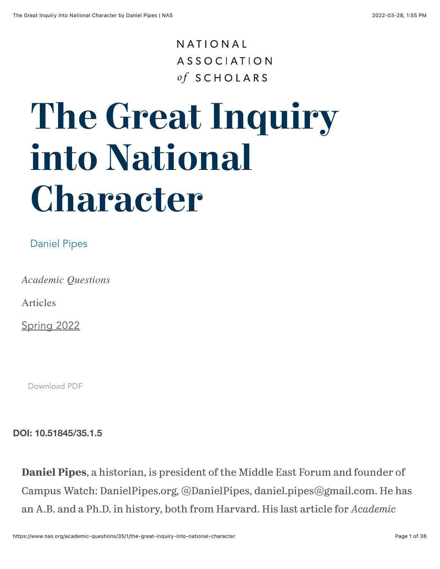#### NATIONAL **ASSOCIATION** of SCHOLARS

# **The Great Inquiry into National Character**

#### [Daniel Pipes](https://www.nas.org/authors/daniel-pipes)

*Academic Questions*

Articles

[Spring 2022](https://www.nas.org/academic-questions/35/1)

[Download PDF](https://www.nas.org/academic-questions/35/1/the-great-inquiry-into-national-character/pdf)

**DOI: 10.51845/35.1.5**

**Daniel Pipes**, a historian, is president of the Middle East Forum and founder of Campus Watch: DanielPipes.org, @DanielPipes, daniel.pipes@gmail.com. He has an A.B. and a Ph.D. in history, both from Harvard. His last article for *Academic*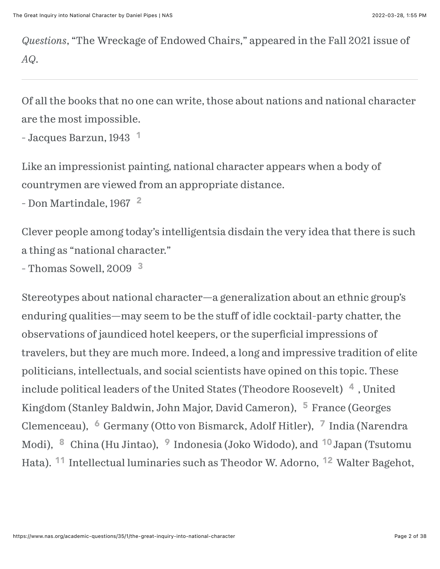*Questions*, "The Wreckage of Endowed Chairs," appeared in the Fall 2021 issue of *AQ*.

Of all the books that no one can write, those about nations and national character are the most impossible.

```
- Jacques Barzun, 1943
1
```
Like an impressionist painting, national character appears when a body of countrymen are viewed from an appropriate distance.

```
2</sup>
```
Clever people among today's intelligentsia disdain the very idea that there is such a thing as "national character."

```
3</sup>
```
<span id="page-1-11"></span><span id="page-1-10"></span><span id="page-1-9"></span><span id="page-1-8"></span><span id="page-1-7"></span><span id="page-1-6"></span><span id="page-1-5"></span><span id="page-1-4"></span><span id="page-1-3"></span>Stereotypes about national character—a generalization about an ethnic group's enduring qualities—may seem to be the stuff of idle cocktail-party chatter, the observations of jaundiced hotel keepers, or the superficial impressions of travelers, but they are much more. Indeed, a long and impressive tradition of elite politicians, intellectuals, and social scientists have opined on this topic. These include political leaders of the United States (Theodore Roosevelt)  $\ ^4$  $\ ^4$  , United Kingdom (Stanley Baldwin, John Major, David Cameron), <sup>[5](#page-22-4)</sup> France (Georges Clemenceau), <sup>[6](#page-22-5)</sup> Germany (Otto von Bismarck, Adolf Hitler), <sup>[7](#page-22-6)</sup> India (Narendra Modi)[,](#page-23-0) <sup>8</sup> China (Hu Jintao), <sup>[9](#page-23-1)</sup> Indonesia (Joko Widodo), and <sup>[10](#page-23-2)</sup> Japan (Tsutomu Hata).<sup>11</sup> Intellectual luminaries such as Theodor W. Adorno, <sup>12</sup> Walter Bagehot,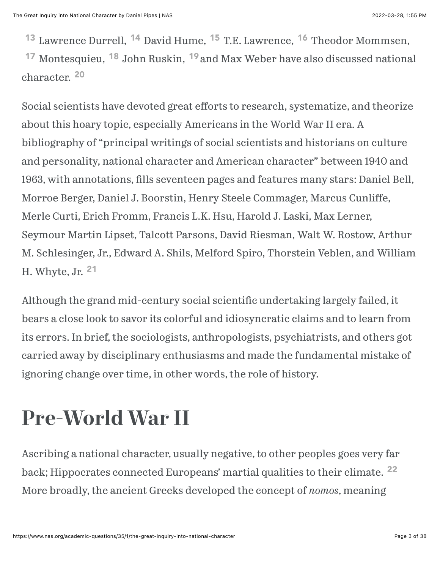<span id="page-2-6"></span><span id="page-2-5"></span><span id="page-2-3"></span><span id="page-2-2"></span><span id="page-2-1"></span><span id="page-2-0"></span><sup>13</sup> Lawrence Durrell[,](#page-23-8) <sup>14</sup> David Hume[,](#page-23-7) <sup>15</sup> T.E. Lawrence, <sup>16</sup> Theodor Mommsen,

<span id="page-2-7"></span><span id="page-2-4"></span><sup>17</sup> Montesquieu[,](#page-24-0) <sup>18</sup> John Ruskin, <sup>[19](#page-24-1)</sup> and Max Weber have also discussed national character. [20](#page-24-2)

Social scientists have devoted great efforts to research, systematize, and theorize about this hoary topic, especially Americans in the World War II era. A bibliography of "principal writings of social scientists and historians on culture and personality, national character and American character" between 1940 and 1963, with annotations, fills seventeen pages and features many stars: Daniel Bell, Morroe Berger, Daniel J. Boorstin, Henry Steele Commager, Marcus Cunliffe, Merle Curti, Erich Fromm, Francis L.K. Hsu, Harold J. Laski, Max Lerner, Seymour Martin Lipset, Talcott Parsons, David Riesman, Walt W. Rostow, Arthur M. Schlesinger, Jr., Edward A. Shils, Melford Spiro, Thorstein Veblen, and William H. Whyte, Jr. [21](#page-24-3)

<span id="page-2-8"></span>Although the grand mid-century social scientific undertaking largely failed, it bears a close look to savor its colorful and idiosyncratic claims and to learn from its errors. In brief, the sociologists, anthropologists, psychiatrists, and others got carried away by disciplinary enthusiasms and made the fundamental mistake of ignoring change over time, in other words, the role of history.

## **Pre-World War II**

<span id="page-2-9"></span>Ascribing a national character, usually negative, to other peoples goes very far back; Hippocrates connected Europeans' martial qualities to their climate. <sup>[22](#page-24-4)</sup> More broadly, the ancient Greeks developed the concept of *nomos*, meaning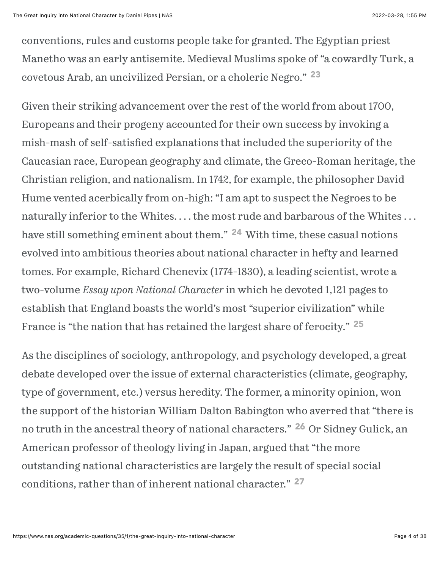<span id="page-3-0"></span>conventions, rules and customs people take for granted. The Egyptian priest Manetho was an early antisemite. Medieval Muslims spoke of "a cowardly Turk, a covetous Arab, an uncivilized Persian, or a choleric Negro." [23](#page-24-5)

Given their striking advancement over the rest of the world from about 1700, Europeans and their progeny accounted for their own success by invoking a mish-mash of self-satisfied explanations that included the superiority of the Caucasian race, European geography and climate, the Greco-Roman heritage, the Christian religion, and nationalism. In 1742, for example, the philosopher David Hume vented acerbically from on-high: "I am apt to suspect the Negroes to be naturally inferior to the Whites.... the most rude and barbarous of the Whites... have still something eminent about them.["](#page-24-6) <sup>24</sup> With time, these casual notions evolved into ambitious theories about national character in hefty and learned tomes. For example, Richard Chenevix (1774-1830), a leading scientist, wrote a two-volume *Essay upon National Character* in which he devoted 1,121 pages to establish that England boasts the world's most "superior civilization" while France is "the nation that has retained the largest share of ferocity." <sup>[25](#page-24-7)</sup>

<span id="page-3-4"></span><span id="page-3-3"></span><span id="page-3-2"></span><span id="page-3-1"></span>As the disciplines of sociology, anthropology, and psychology developed, a great debate developed over the issue of external characteristics (climate, geography, type of government, etc.) versus heredity. The former, a minority opinion, won the support of the historian William Dalton Babington who averred that "there is notruth in the ancestral theory of national characters." <sup>26</sup> Or Sidney Gulick, an American professor of theology living in Japan, argued that "the more outstanding national characteristics are largely the result of special social conditions, rather than of inherent national character." [27](#page-25-1)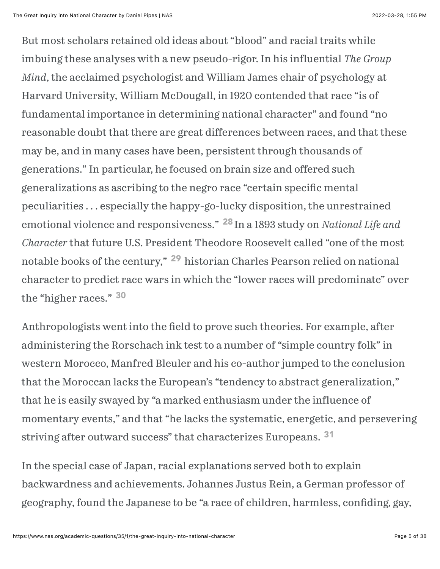But most scholars retained old ideas about "blood" and racial traits while imbuing these analyses with a new pseudo-rigor. In his influential *The Group Mind*, the acclaimed psychologist and William James chair of psychology at Harvard University, William McDougall, in 1920 contended that race "is of fundamental importance in determining national character" and found "no reasonable doubt that there are great differences between races, and that these may be, and in many cases have been, persistent through thousands of generations." In particular, he focused on brain size and offered such generalizations as ascribing to the negro race "certain specific mental peculiarities . . . especially the happy-go-lucky disposition, the unrestrained emotional violence and responsiveness." <sup>[28](#page-25-2)</sup> In a 1893 study on *National Life and Character* that future U.S. President Theodore Roosevelt called "one of the most notablebooks of the century," <sup>29</sup> historian Charles Pearson relied on national character to predict race wars in which the "lower races will predominate" over the "higher races." [30](#page-25-4)

<span id="page-4-2"></span><span id="page-4-1"></span><span id="page-4-0"></span>Anthropologists went into the field to prove such theories. For example, after administering the Rorschach ink test to a number of "simple country folk" in western Morocco, Manfred Bleuler and his co-author jumped to the conclusion that the Moroccan lacks the European's "tendency to abstract generalization," that he is easily swayed by "a marked enthusiasm under the influence of momentary events," and that "he lacks the systematic, energetic, and persevering striving after outward success" that characterizes Europeans. <sup>[31](#page-25-5)</sup>

<span id="page-4-3"></span>In the special case of Japan, racial explanations served both to explain backwardness and achievements. Johannes Justus Rein, a German professor of geography, found the Japanese to be "a race of children, harmless, confiding, gay,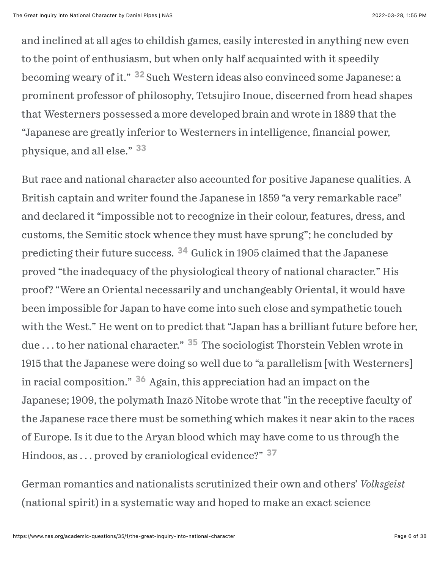<span id="page-5-0"></span>and inclined at all ages to childish games, easily interested in anything new even to the point of enthusiasm, but when only half acquainted with it speedily becoming weary of it." <sup>[32](#page-25-6)</sup> Such Western ideas also convinced some Japanese: a prominent professor of philosophy, Tetsujiro Inoue, discerned from head shapes that Westerners possessed a more developed brain and wrote in 1889 that the "Japanese are greatly inferior to Westerners in intelligence, financial power, physique, and all else." [33](#page-26-0)

<span id="page-5-2"></span><span id="page-5-1"></span>But race and national character also accounted for positive Japanese qualities. A British captain and writer found the Japanese in 1859 "a very remarkable race" and declared it "impossible not to recognize in their colour, features, dress, and customs, the Semitic stock whence they must have sprung"; he concluded by predicting their future success[.](#page-26-1) <sup>34</sup> Gulick in 1905 claimed that the Japanese proved "the inadequacy of the physiological theory of national character." His proof? "Were an Oriental necessarily and unchangeably Oriental, it would have been impossible for Japan to have come into such close and sympathetic touch with the West." He went on to predict that "Japan has a brilliant future before her, due ... to her national character.["](#page-26-2) <sup>35</sup> The sociologist Thorstein Veblen wrote in 1915 that the Japanese were doing so well due to "a parallelism [with Westerners] inracial composition." <sup>36</sup> Again, this appreciation had an impact on the Japanese; 1909, the polymath Inazō Nitobe wrote that "in the receptive faculty of the Japanese race there must be something which makes it near akin to the races of Europe. Is it due to the Aryan blood which may have come to us through the Hindoos, as ... proved by craniological evidence?" <sup>[37](#page-26-4)</sup>

<span id="page-5-5"></span><span id="page-5-4"></span><span id="page-5-3"></span>German romantics and nationalists scrutinized their own and others' *Volksgeist* (national spirit) in a systematic way and hoped to make an exact science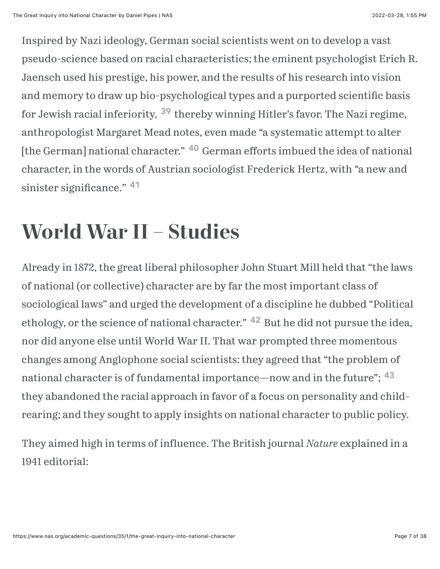<span id="page-6-0"></span>Inspired by Nazi ideology, German social scientists went on to develop a vast pseudo-science based on racial characteristics; the eminent psychologist Erich R. Jaensch used his prestige, his power, and the results of his research into vision and memory to draw up bio-psychological types and a purported scientific basis forJewish racial inferiority, <sup>39</sup> thereby winning Hitler's favor. The Nazi regime, anthropologist Margaret Mead notes, even made "a systematic attempt to alter [the German] national character." <sup>40</sup> German efforts imbued the idea of national character, in the words of Austrian sociologist Frederick Hertz, with "a new and sinister significance." <sup>[41](https://www.nas.org/academic-questions/35/1/the-great-inquiry-into-national-character#_ftn41)</sup>

### <span id="page-6-1"></span>**World War II – Studies**

<span id="page-6-2"></span>Already in 1872, the great liberal philosopher John Stuart Mill held that "the laws of national (or collective) character are by far the most important class of sociological laws" and urged the development of a discipline he dubbed "Political ethology, or the science of national character."  $42$  But he did not pursue the idea, nor did anyone else until World War II. That war prompted three momentous changes among Anglophone social scientists: they agreed that "the problem of national character is of fundamental importance—now and in the future"; <sup>[43](#page-27-1)</sup> they abandoned the racial approach in favor of a focus on personality and childrearing; and they sought to apply insights on national character to public policy.

<span id="page-6-3"></span>They aimed high in terms of influence. The British journal *Nature* explained in a 1941 editorial: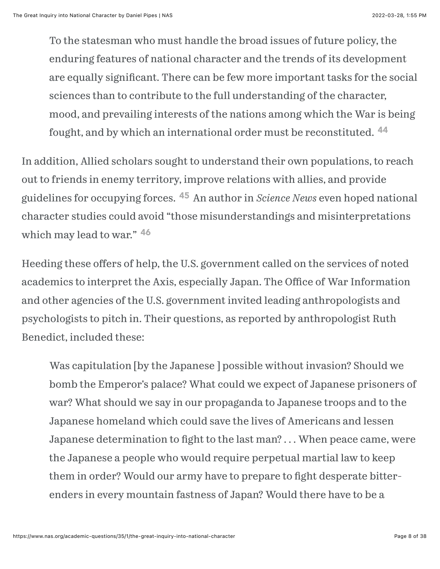<span id="page-7-0"></span>To the statesman who must handle the broad issues of future policy, the enduring features of national character and the trends of its development are equally significant. There can be few more important tasks for the social sciences than to contribute to the full understanding of the character, mood, and prevailing interests of the nations among which the War is being fought, and by which an international order must be reconstituted. <sup>[44](#page-27-2)</sup>

<span id="page-7-1"></span>In addition, Allied scholars sought to understand their own populations, to reach out to friends in enemy territory, improve relations with allies, and provide guidelines for occupying forces. <sup>45</sup> An author in *Science News* even hoped national character studies could avoid "those misunderstandings and misinterpretations which may lead to war." [46](#page-27-4)

<span id="page-7-2"></span>Heeding these offers of help, the U.S. government called on the services of noted academics to interpret the Axis, especially Japan. The Office of War Information and other agencies of the U.S. government invited leading anthropologists and psychologists to pitch in. Their questions, as reported by anthropologist Ruth Benedict, included these:

Was capitulation [by the Japanese ] possible without invasion? Should we bomb the Emperor's palace? What could we expect of Japanese prisoners of war? What should we say in our propaganda to Japanese troops and to the Japanese homeland which could save the lives of Americans and lessen Japanese determination to fight to the last man? ... When peace came, were the Japanese a people who would require perpetual martial law to keep them in order? Would our army have to prepare to fight desperate bitterenders in every mountain fastness of Japan? Would there have to be a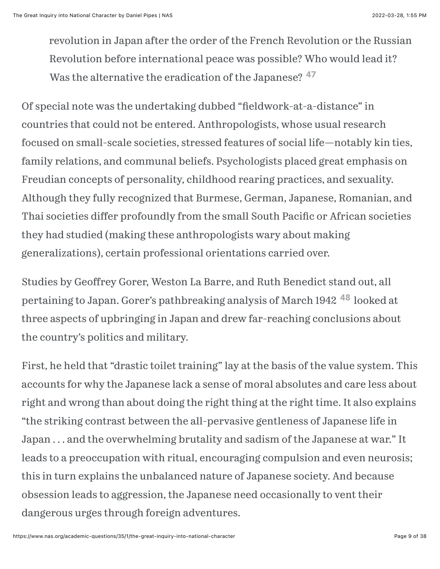<span id="page-8-0"></span>revolution in Japan after the order of the French Revolution or the Russian Revolution before international peace was possible? Who would lead it? Was the alternative the eradication of the Japanese?  $47$ 

Of special note was the undertaking dubbed "fieldwork-at-a-distance" in countries that could not be entered. Anthropologists, whose usual research focused on small-scale societies, stressed features of social life—notably kin ties, family relations, and communal beliefs. Psychologists placed great emphasis on Freudian concepts of personality, childhood rearing practices, and sexuality. Although they fully recognized that Burmese, German, Japanese, Romanian, and Thai societies differ profoundly from the small South Pacific or African societies they had studied (making these anthropologists wary about making generalizations), certain professional orientations carried over.

<span id="page-8-1"></span>Studies by Geoffrey Gorer, Weston La Barre, and Ruth Benedict stand out, all pertainingto Japan. Gorer's pathbreaking analysis of March 1942<sup>48</sup> looked at three aspects of upbringing in Japan and drew far-reaching conclusions about the country's politics and military.

First, he held that "drastic toilet training" lay at the basis of the value system. This accounts for why the Japanese lack a sense of moral absolutes and care less about right and wrong than about doing the right thing at the right time. It also explains "the striking contrast between the all-pervasive gentleness of Japanese life in Japan . . . and the overwhelming brutality and sadism of the Japanese at war." It leads to a preoccupation with ritual, encouraging compulsion and even neurosis; this in turn explains the unbalanced nature of Japanese society. And because obsession leads to aggression, the Japanese need occasionally to vent their dangerous urges through foreign adventures.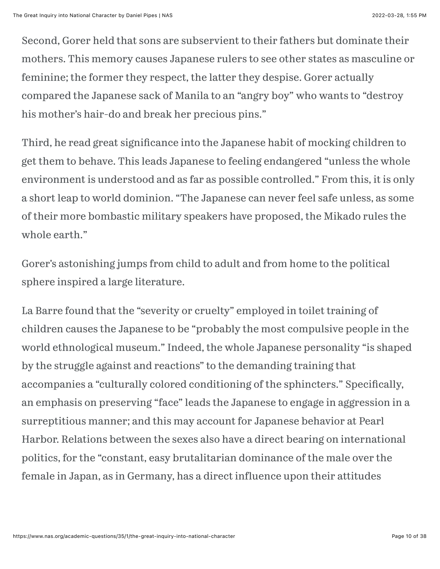Second, Gorer held that sons are subservient to their fathers but dominate their mothers. This memory causes Japanese rulers to see other states as masculine or feminine; the former they respect, the latter they despise. Gorer actually compared the Japanese sack of Manila to an "angry boy" who wants to "destroy his mother's hair-do and break her precious pins."

Third, he read great significance into the Japanese habit of mocking children to get them to behave. This leads Japanese to feeling endangered "unless the whole environment is understood and as far as possible controlled." From this, it is only a short leap to world dominion. "The Japanese can never feel safe unless, as some of their more bombastic military speakers have proposed, the Mikado rules the whole earth."

Gorer's astonishing jumps from child to adult and from home to the political sphere inspired a large literature.

La Barre found that the "severity or cruelty" employed in toilet training of children causes the Japanese to be "probably the most compulsive people in the world ethnological museum." Indeed, the whole Japanese personality "is shaped by the struggle against and reactions" to the demanding training that accompanies a "culturally colored conditioning of the sphincters." Specifically, an emphasis on preserving "face" leads the Japanese to engage in aggression in a surreptitious manner; and this may account for Japanese behavior at Pearl Harbor. Relations between the sexes also have a direct bearing on international politics, for the "constant, easy brutalitarian dominance of the male over the female in Japan, as in Germany, has a direct influence upon their attitudes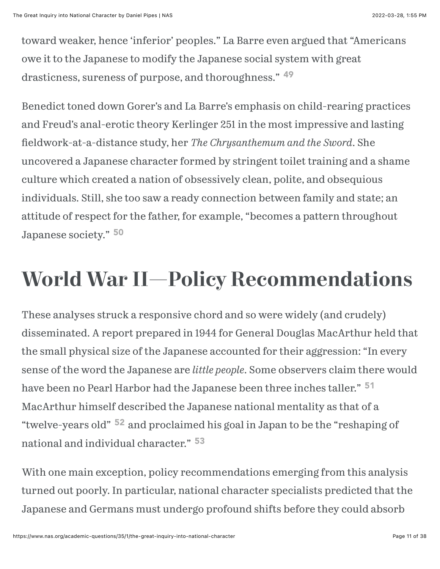toward weaker, hence 'inferior' peoples." La Barre even argued that "Americans owe it to the Japanese to modify the Japanese social system with great drasticness, sureness of purpose, and thoroughness." [49](#page-27-7)

<span id="page-10-0"></span>Benedict toned down Gorer's and La Barre's emphasis on child-rearing practices and Freud's anal-erotic theory Kerlinger 251 in the most impressive and lasting \$eldwork-at-a-distance study, her *The Chrysanthemum and the Sword*. She uncovered a Japanese character formed by stringent toilet training and a shame culture which created a nation of obsessively clean, polite, and obsequious individuals. Still, she too saw a ready connection between family and state; an attitude of respect for the father, for example, "becomes a pattern throughout Japanese society." [50](#page-27-8)

#### <span id="page-10-1"></span>**World War II—Policy Recommendations**

<span id="page-10-2"></span>These analyses struck a responsive chord and so were widely (and crudely) disseminated. A report prepared in 1944 for General Douglas MacArthur held that the small physical size of the Japanese accounted for their aggression: "In every sense of the word the Japanese are *little people*. Some observers claim there would have been no Pearl Harbor had the Japanese been three inches taller." [51](#page-27-9) MacArthur himself described the Japanese national mentality as that of a "twelve-years old" <sup>52</sup> and proclaimed his goal in Japan to be the "reshaping of national and individual character." [53](#page-28-1)

<span id="page-10-4"></span><span id="page-10-3"></span>With one main exception, policy recommendations emerging from this analysis turned out poorly. In particular, national character specialists predicted that the Japanese and Germans must undergo profound shifts before they could absorb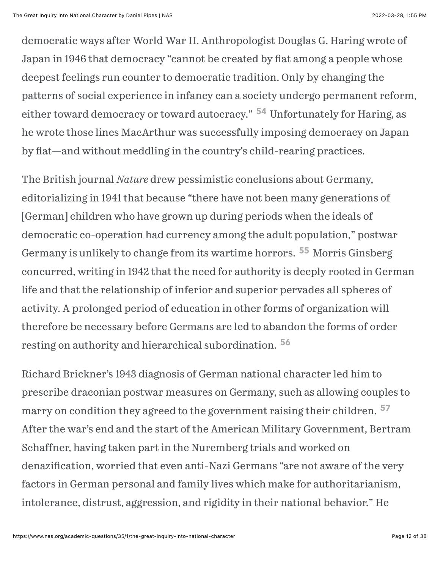<span id="page-11-0"></span>democratic ways after World War II. Anthropologist Douglas G. Haring wrote of Japan in 1946 that democracy "cannot be created by fiat among a people whose deepest feelings run counter to democratic tradition. Only by changing the patterns of social experience in infancy can a society undergo permanent reform, eithertoward democracy or toward autocracy." <sup>54</sup> Unfortunately for Haring, as he wrote those lines MacArthur was successfully imposing democracy on Japan by fiat—and without meddling in the country's child-rearing practices.

<span id="page-11-1"></span>The British journal *Nature* drew pessimistic conclusions about Germany, editorializing in 1941 that because "there have not been many generations of [German] children who have grown up during periods when the ideals of democratic co-operation had currency among the adult population," postwar Germany is unlikely to change from its wartime horrors[.](#page-28-3) <sup>55</sup> Morris Ginsberg concurred, writing in 1942 that the need for authority is deeply rooted in German life and that the relationship of inferior and superior pervades all spheres of activity. A prolonged period of education in other forms of organization will therefore be necessary before Germans are led to abandon the forms of order resting on authority and hierarchical subordination. [56](#page-28-4)

<span id="page-11-3"></span><span id="page-11-2"></span>Richard Brickner's 1943 diagnosis of German national character led him to prescribe draconian postwar measures on Germany, such as allowing couples to marry on condition they agreed to the government raising their children. [57](#page-28-5)After the war's end and the start of the American Military Government, Bertram Schaffner, having taken part in the Nuremberg trials and worked on denazification, worried that even anti-Nazi Germans "are not aware of the very factors in German personal and family lives which make for authoritarianism, intolerance, distrust, aggression, and rigidity in their national behavior." He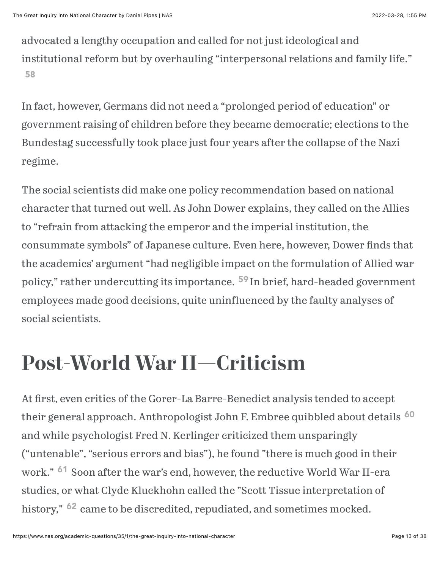advocated a lengthy occupation and called for not just ideological and institutional reform but by overhauling "interpersonal relations and family life." [58](#page-28-6)

<span id="page-12-0"></span>In fact, however, Germans did not need a "prolonged period of education" or government raising of children before they became democratic; elections to the Bundestag successfully took place just four years after the collapse of the Nazi regime.

The social scientists did make one policy recommendation based on national character that turned out well. As John Dower explains, they called on the Allies to "refrain from attacking the emperor and the imperial institution, the consummate symbols" of Japanese culture. Even here, however, Dower finds that the academics' argument "had negligible impact on the formulation of Allied war policy," rather undercutting its importance. <sup>[59](#page-28-7)</sup> In brief, hard-headed government employees made good decisions, quite uninfluenced by the faulty analyses of social scientists.

### <span id="page-12-1"></span>**Post-World War II—Criticism**

<span id="page-12-4"></span><span id="page-12-3"></span><span id="page-12-2"></span>At first, even critics of the Gorer-La Barre-Benedict analysis tended to accept their general approach. Anthropologist John F. Embree quibbled about details [60](#page-28-8) and while psychologist Fred N. Kerlinger criticized them unsparingly ("untenable", "serious errors and bias"), he found "there is much good in their work.["](#page-29-0) <sup>61</sup> Soon after the war's end, however, the reductive World War II-era studies, or what Clyde Kluckhohn called the "Scott Tissue interpretation of history," <sup>62</sup> came to be discredited, repudiated, and sometimes mocked.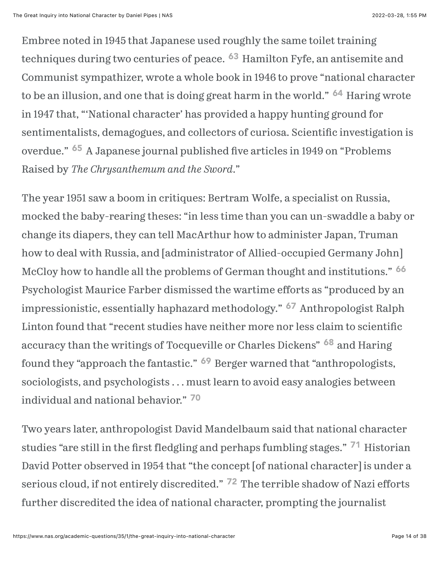<span id="page-13-1"></span><span id="page-13-0"></span>Embree noted in 1945 that Japanese used roughly the same toilet training techniques during two centuries of peace[.](#page-29-2) <sup>63</sup> Hamilton Fyfe, an antisemite and Communist sympathizer, wrote a whole book in 1946 to prove "national character to be an illusion, and one that is doing great harm in the world.["](#page-29-3) <sup>64</sup> Haring wrote in 1947 that, "'National character' has provided a happy hunting ground for sentimentalists, demagogues, and collectors of curiosa. Scientific investigation is overdue." <sup>65</sup> A Japanese journal published five articles in 1949 on "Problems Raised by *The Chrysanthemum and the Sword*."

<span id="page-13-4"></span><span id="page-13-3"></span><span id="page-13-2"></span>The year 1951 saw a boom in critiques: Bertram Wolfe, a specialist on Russia, mocked the baby-rearing theses: "in less time than you can un-swaddle a baby or change its diapers, they can tell MacArthur how to administer Japan, Truman how to deal with Russia, and [administrator of Allied-occupied Germany John] McCloy how to handle all the problems of German thought and institutions." [66](#page-29-5) Psychologist Maurice Farber dismissed the wartime efforts as "produced by an impressionistic, essentially haphazard methodology.["](#page-29-6) <sup>67</sup> Anthropologist Ralph Linton found that "recent studies have neither more nor less claim to scientific accuracy than the writings of Tocqueville or Charles Dickens" 68 and Haring foundthey "approach the fantastic." <sup>69</sup> Berger warned that "anthropologists, sociologists, and psychologists . . . must learn to avoid easy analogies between individual and national behavior." [70](#page-30-0)

<span id="page-13-9"></span><span id="page-13-8"></span><span id="page-13-7"></span><span id="page-13-6"></span><span id="page-13-5"></span>Two years later, anthropologist David Mandelbaum said that national character studies"are still in the first fledgling and perhaps fumbling stages."  $71$  Historian David Potter observed in 1954 that "the concept [of national character] is under a seriouscloud, if not entirely discredited." <sup>72</sup> The terrible shadow of Nazi efforts further discredited the idea of national character, prompting the journalist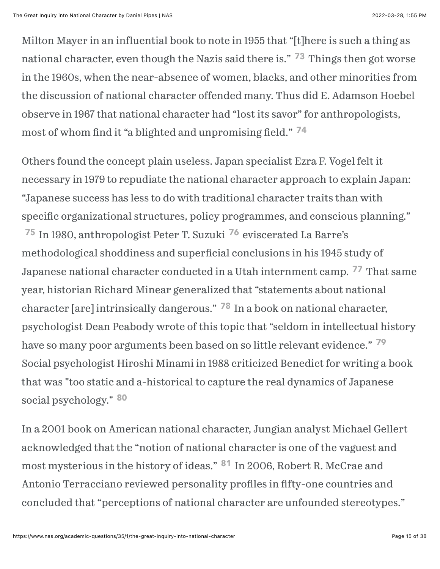<span id="page-14-0"></span>Milton Mayer in an influential book to note in 1955 that "[t]here is such a thing as national character, even though the Nazis said there is.["](#page-30-3) <sup>73</sup> Things then got worse in the 1960s, when the near-absence of women, blacks, and other minorities from the discussion of national character offended many. Thus did E. Adamson Hoebel observe in 1967 that national character had "lost its savor" for anthropologists, most of whom find it "a blighted and unpromising field." <sup>[74](#page-30-4)</sup>

<span id="page-14-4"></span><span id="page-14-3"></span><span id="page-14-2"></span><span id="page-14-1"></span>Others found the concept plain useless. Japan specialist Ezra F. Vogel felt it necessary in 1979 to repudiate the national character approach to explain Japan: "Japanese success has less to do with traditional character traits than with specific organizational structures, policy programmes, and conscious planning." <sup>[75](#page-30-5)</sup> In 1980, anthropologist Peter T. Suzuki <sup>[76](#page-30-6)</sup> eviscerated La Barre's methodological shoddiness and superficial conclusions in his 1945 study of Japanese national character conducted in a Utah internment camp. <sup>77</sup> That same year, historian Richard Minear generalized that "statements about national character [are] intrinsically dangerous.["](#page-30-8) <sup>78</sup> In a book on national character, psychologist Dean Peabody wrote of this topic that "seldom in intellectual history have so many poor arguments been based on so little relevant evidence." <sup>[79](#page-30-9)</sup> Social psychologist Hiroshi Minami in 1988 criticized Benedict for writing a book that was "too static and a-historical to capture the real dynamics of Japanese

#### <span id="page-14-7"></span><span id="page-14-6"></span><span id="page-14-5"></span>social psychology." [80](#page-31-0)

<span id="page-14-8"></span>In a 2001 book on American national character, Jungian analyst Michael Gellert acknowledged that the "notion of national character is one of the vaguest and mostmysterious in the history of ideas." <sup>81</sup> In 2006, Robert R. McCrae and Antonio Terracciano reviewed personality profiles in fifty-one countries and concluded that "perceptions of national character are unfounded stereotypes."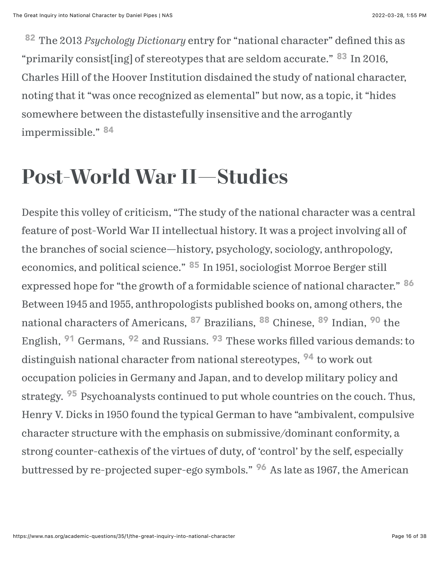<span id="page-15-1"></span><span id="page-15-0"></span><sup>[82](#page-31-2)</sup> The 2013 *Psychology Dictionary* entry for "national character" defined this as "primarilyconsist[ing] of stereotypes that are seldom accurate." <sup>83</sup> In 2016, Charles Hill of the Hoover Institution disdained the study of national character, noting that it "was once recognized as elemental" but now, as a topic, it "hides somewhere between the distastefully insensitive and the arrogantly impermissible." [84](#page-31-4)

#### <span id="page-15-2"></span>**Post-World War II—Studies**

<span id="page-15-14"></span><span id="page-15-13"></span><span id="page-15-12"></span><span id="page-15-11"></span><span id="page-15-10"></span><span id="page-15-9"></span><span id="page-15-8"></span><span id="page-15-7"></span><span id="page-15-6"></span><span id="page-15-5"></span><span id="page-15-4"></span><span id="page-15-3"></span>Despite this volley of criticism, "The study of the national character was a central feature of post-World War II intellectual history. It was a project involving all of the branches of social science—history, psychology, sociology, anthropology, economics, and political science." <sup>85</sup> In 1951, sociologist Morroe Berger still expressed hope for "the growth of a formidable science of national character." <sup>[86](#page-31-6)</sup> Between 1945 and 1955, anthropologists published books on, among others, the national characters of Americans[,](#page-32-1) <sup>87</sup> Brazilians[,](#page-31-8) <sup>88</sup>Chinese, <sup>89</sup> Indian, <sup>90</sup> the English,<sup>91</sup> Germans, <sup>92</sup> and Russians. <sup>93</sup> These works filled various demands: to distinguish national character from national stereotypes[,](#page-32-5) <sup>94</sup> to work out occupation policies in Germany and Japan, and to develop military policy and strategy[.](#page-32-6) <sup>95</sup> Psychoanalysts continued to put whole countries on the couch. Thus, Henry V. Dicks in 1950 found the typical German to have "ambivalent, compulsive character structure with the emphasis on submissive/dominant conformity, a strong counter-cathexis of the virtues of duty, of 'control' by the self, especially buttressedby re-projected super-ego symbols." <sup>96</sup> As late as 1967, the American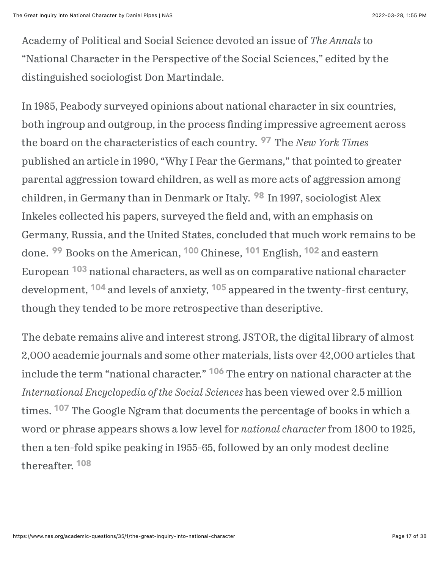Academy of Political and Social Science devoted an issue of *The Annals* to "National Character in the Perspective of the Social Sciences," edited by the distinguished sociologist Don Martindale.

<span id="page-16-1"></span><span id="page-16-0"></span>In 1985, Peabody surveyed opinions about national character in six countries, both ingroup and outgroup, in the process finding impressive agreement across the board on the characteristics of each country[.](#page-32-8) <sup>97</sup> The *New York Times* published an article in 1990, "Why I Fear the Germans," that pointed to greater parental aggression toward children, as well as more acts of aggression among children, in Germany than in Denmark or Italy. <sup>98</sup> In 1997, sociologist Alex Inkeles collected his papers, surveyed the field and, with an emphasis on Germany, Russia, and the United States, concluded that much work remains to be done. <sup>99</sup> Books on the American[,](#page-33-1) <sup>100</sup> Chinese, <sup>101</sup> English, <sup>102</sup> and eastern European <sup>103</sup> national characters, as well as on comparative national character development, <sup>104</sup> and levels of anxiety, <sup>105</sup> appeared in the twenty-first century, though they tended to be more retrospective than descriptive.

<span id="page-16-11"></span><span id="page-16-10"></span><span id="page-16-9"></span><span id="page-16-8"></span><span id="page-16-7"></span><span id="page-16-6"></span><span id="page-16-5"></span><span id="page-16-4"></span><span id="page-16-3"></span><span id="page-16-2"></span>The debate remains alive and interest strong. JSTOR, the digital library of almost 2,000 academic journals and some other materials, lists over 42,000 articles that include the term "national character.["](#page-33-7) <sup>106</sup> The entry on national character at the *International Encyclopedia of the Social Sciences* has been viewed over 2.5 million times. <sup>107</sup> The Google Ngram that documents the percentage of books in which a word or phrase appears shows a low level for *national character* from 1800 to 1925, then a ten-fold spike peaking in 1955-65, followed by an only modest decline thereafter. [108](#page-33-9)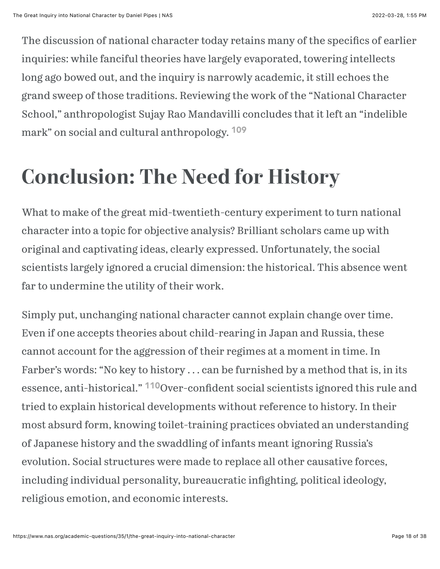The discussion of national character today retains many of the specifics of earlier inquiries: while fanciful theories have largely evaporated, towering intellects long ago bowed out, and the inquiry is narrowly academic, it still echoes the grand sweep of those traditions. Reviewing the work of the "National Character School," anthropologist Sujay Rao Mandavilli concludes that it left an "indelible mark" on social and cultural anthropology. [109](#page-34-0)

#### <span id="page-17-0"></span>**Conclusion: The Need for History**

What to make of the great mid-twentieth-century experiment to turn national character into a topic for objective analysis? Brilliant scholars came up with original and captivating ideas, clearly expressed. Unfortunately, the social scientists largely ignored a crucial dimension: the historical. This absence went far to undermine the utility of their work.

<span id="page-17-1"></span>Simply put, unchanging national character cannot explain change over time. Even if one accepts theories about child-rearing in Japan and Russia, these cannot account for the aggression of their regimes at a moment in time. In Farber's words: "No key to history . . . can be furnished by a method that is, in its essence, anti-historical." <sup>[110](#page-34-1)</sup>Over-confident social scientists ignored this rule and tried to explain historical developments without reference to history. In their most absurd form, knowing toilet-training practices obviated an understanding of Japanese history and the swaddling of infants meant ignoring Russia's evolution. Social structures were made to replace all other causative forces, including individual personality, bureaucratic infighting, political ideology, religious emotion, and economic interests.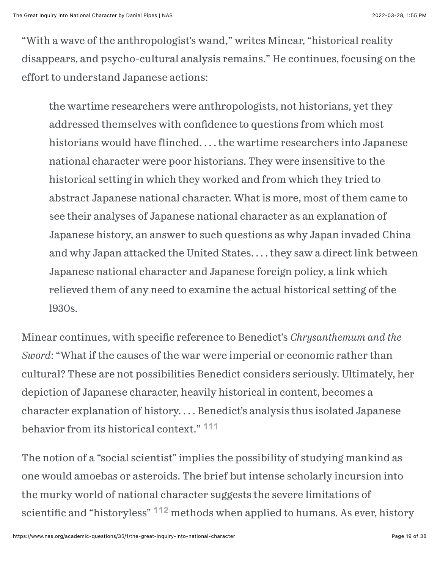"With a wave of the anthropologist's wand," writes Minear, "historical reality disappears, and psycho-cultural analysis remains." He continues, focusing on the effort to understand Japanese actions:

the wartime researchers were anthropologists, not historians, yet they addressed themselves with confidence to questions from which most historians would have flinched. . . . the wartime researchers into Japanese national character were poor historians. They were insensitive to the historical setting in which they worked and from which they tried to abstract Japanese national character. What is more, most of them came to see their analyses of Japanese national character as an explanation of Japanese history, an answer to such questions as why Japan invaded China and why Japan attacked the United States. . . . they saw a direct link between Japanese national character and Japanese foreign policy, a link which relieved them of any need to examine the actual historical setting of the l930s.

Minear continues, with specific reference to Benedict's *Chrysanthemum and the Sword*: "What if the causes of the war were imperial or economic rather than cultural? These are not possibilities Benedict considers seriously. Ultimately, her depiction of Japanese character, heavily historical in content, becomes a character explanation of history. . . . Benedict's analysis thus isolated Japanese behavior from its historical context." [111](#page-34-2)

<span id="page-18-1"></span><span id="page-18-0"></span>The notion of a "social scientist" implies the possibility of studying mankind as one would amoebas or asteroids. The brief but intense scholarly incursion into the murky world of national character suggests the severe limitations of scientific and "historyless["](#page-34-3) <sup>112</sup> methods when applied to humans. As ever, history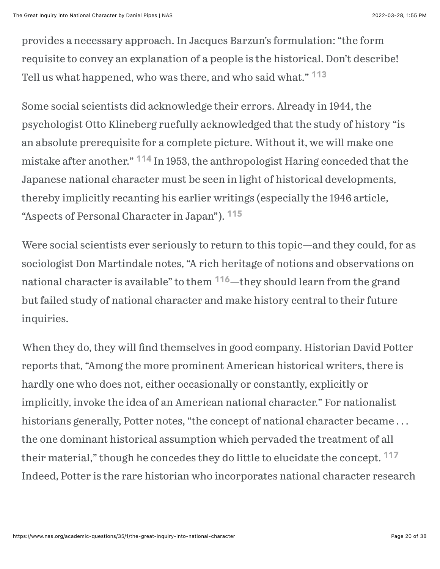provides a necessary approach. In Jacques Barzun's formulation: "the form requisite to convey an explanation of a people is the historical. Don't describe! Tell us what happened, who was there, and who said what." [113](#page-34-4)

<span id="page-19-1"></span><span id="page-19-0"></span>Some social scientists did acknowledge their errors. Already in 1944, the psychologist Otto Klineberg ruefully acknowledged that the study of history "is an absolute prerequisite for a complete picture. Without it, we will make one mistake after another.["](#page-34-5)  $114$  In 1953, the anthropologist Haring conceded that the Japanese national character must be seen in light of historical developments, thereby implicitly recanting his earlier writings (especially the 1946 article, "Aspects of Personal Character in Japan"). <sup>[115](#page-34-6)</sup>

<span id="page-19-3"></span><span id="page-19-2"></span>Were social scientists ever seriously to return to this topic—and they could, for as sociologist Don Martindale notes, "A rich heritage of notions and observations on national character is available" to them <sup>[116](#page-34-7)</sup>—they should learn from the grand but failed study of national character and make history central to their future inquiries.

<span id="page-19-4"></span>When they do, they will find themselves in good company. Historian David Potter reports that, "Among the more prominent American historical writers, there is hardly one who does not, either occasionally or constantly, explicitly or implicitly, invoke the idea of an American national character." For nationalist historians generally, Potter notes, "the concept of national character became... the one dominant historical assumption which pervaded the treatment of all their material," though he concedes they do little to elucidate the concept. <sup>[117](#page-34-8)</sup> Indeed, Potter is the rare historian who incorporates national character research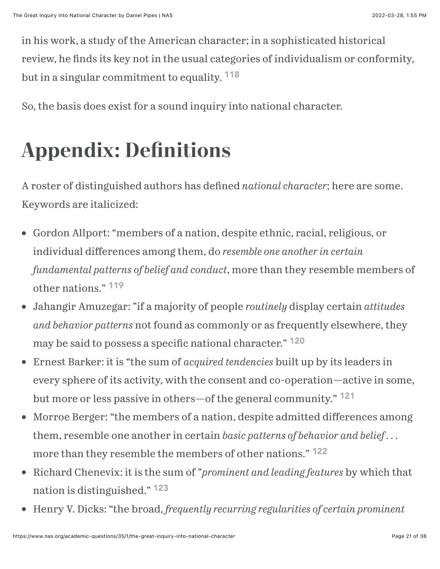in his work, a study of the American character; in a sophisticated historical review, he finds its key not in the usual categories of individualism or conformity, but in a singular commitment to equality. <sup>[118](#page-34-9)</sup>

<span id="page-20-0"></span>So, the basis does exist for a sound inquiry into national character.

# **Appendix: De!nitions**

A roster of distinguished authors has defined *national character*; here are some. Keywords are italicized:

- Gordon Allport: "members of a nation, despite ethnic, racial, religious, or individual differences among them, do *resemble one another in certain fundamental patterns of belief and conduct*, more than they resemble members of other nations." [119](#page-34-10)
- <span id="page-20-1"></span>Jahangir Amuzegar: "if a majority of people *routinely* display certain *attitudes and behavior patterns* not found as commonly or as frequently elsewhere, they may be said to possess a specific national character." <sup>[120](#page-35-0)</sup>
- <span id="page-20-2"></span>Ernest Barker: it is "the sum of *acquired tendencies* built up by its leaders in every sphere of its activity, with the consent and co-operation—active in some, but more or less passive in others—of the general community." <sup>[121](#page-35-1)</sup>
- <span id="page-20-3"></span>Morroe Berger: "the members of a nation, despite admitted differences among  $\bullet$ them, resemble one another in certain *basic patterns of behavior and belief . . .* more than they resemble the members of other nations." <sup>[122](#page-35-2)</sup>
- <span id="page-20-5"></span><span id="page-20-4"></span>Richard Chenevix: it is the sum of "*prominent and leading features* by which that nation is distinguished." [123](#page-35-3)
- Henry V. Dicks: "the broad, *frequently recurring regularities of certain prominent*  $\bullet$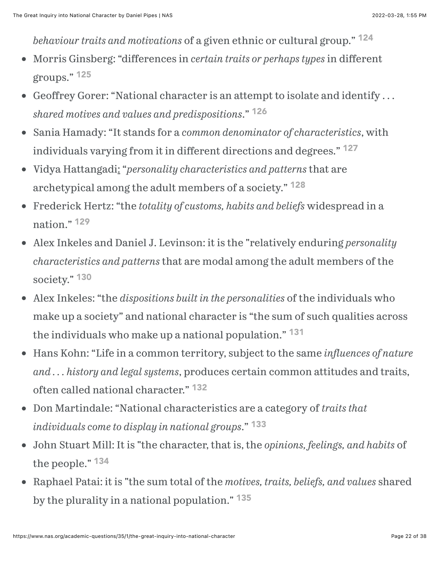<span id="page-21-2"></span><span id="page-21-1"></span><span id="page-21-0"></span>*behaviour traits and motivations* of a given ethnic or cultural group." [124](#page-35-4)

- Morris Ginsberg: "differences in *certain traits or perhaps types* in different groups." [125](#page-35-5)
- Geoffrey Gorer: "National character is an attempt to isolate and identify . . . *shared motives and values and predispositions*." [126](#page-35-6)
- <span id="page-21-3"></span>Sania Hamady: "It stands for a *common denominator of characteristics*, with individuals varying from it in different directions and degrees." [127](#page-35-7)
- <span id="page-21-4"></span>Vidya Hattangadi: "*personality characteristics and patterns* that are  $\bullet$ archetypical among the adult members of a society." [128](#page-35-8)
- <span id="page-21-5"></span>Frederick Hertz: "the *totality of customs, habits and beliefs* widespread in a  $\bullet$ nation." [129](#page-35-9)
- Alex Inkeles and Daniel J. Levinson: it is the "relatively enduring *personality characteristics and patterns* that are modal among the adult members of the society." [130](#page-35-10)
- <span id="page-21-6"></span>Alex Inkeles: "the *dispositions built in the personalities* of the individuals who  $\bullet$ make up a society" and national character is "the sum of such qualities across the individuals who make up a national population." [131](#page-36-0)
- <span id="page-21-7"></span>Hans Kohn: "Life in a common territory, subject to the same *influences of nature and . . . history and legal systems*, produces certain common attitudes and traits, often called national character." [132](#page-36-1)
- <span id="page-21-8"></span>Don Martindale: "National characteristics are a category of *traits that individuals come to display in national groups*." [133](#page-36-2)
- <span id="page-21-10"></span><span id="page-21-9"></span>John Stuart Mill: It is "the character, that is, the *opinions, feelings, and habits* of the people." [134](#page-36-3)
- <span id="page-21-11"></span>Raphael Patai: it is "the sum total of the *motives, traits, beliefs, and values* shared  $\bullet$ by the plurality in a national population." [135](#page-36-4)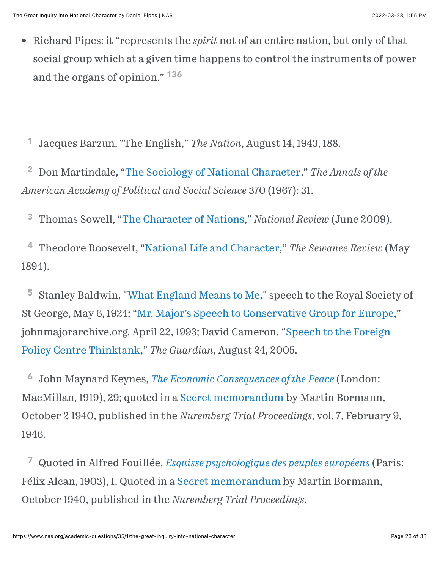<span id="page-22-7"></span>Richard Pipes: it "represents the *spirit* not of an entire nation, but only of that  $\bullet$ social group which at a given time happens to control the instruments of power and the organs of opinion." [136](#page-36-5)

<span id="page-22-0"></span> Jacques Barzun, "The English," *The Nation*, August 14, 1943, 188. [1](#page-1-0)

<span id="page-22-1"></span> Don Martindale, "[The Sociology of National Character,](https://www.jstor.org/stable/1038048)" *The Annals of the American Academy of Political and Social Science* 370 (1967): 31. [2](#page-1-1)

<span id="page-22-2"></span> Thomas Sowell, "[The Character of Nations](https://www.nationalreview.com/2009/06/character-nations-thomas-sowell/)," *National Review* (June 2009). [3](#page-1-2)

<span id="page-22-3"></span> Theodore Roosevelt, "[National Life and Character](https://teachingamericanhistory.org/library/document/national-life-and-character/)," *The Sewanee Review* (May 1894). [4](#page-1-3)

<span id="page-22-4"></span> Stanley Baldwin, ["What England Means to Me](https://spinnet.humanities.uva.nl/images/2013-05/baldwin1924.pdf)," speech to the Royal Society of St George, May 6, 1924; "[Mr. Major's Speech to Conse](http://www.johnmajorarchive.org.uk/1990-1997/mr-majors-speech-to-conservative-group-for-europe-22-april-1993/)rvative Group for Europe," [johnmajorarchive.org, April 22, 1993; David Cameron, "Speech to the Foreign](https://www.theguardian.com/politics/2005/aug/24/conservatives.faithschools) Policy Centre Thinktank," *The Guardian*, August 24, 2005. [5](#page-1-4)

<span id="page-22-5"></span> John Maynard Keynes, *[The Economic Consequences of the Peace](https://www.google.com/books/edition/The_Economic_Consequences_of_the_Peace/AX1EAAAAIAAJ?hl=en&gbpv=1&dq=the+German+understands+and+can+understand+nothing+but+intimidation&pg=PA32&printsec=frontcover)* (London: MacMillan, 1919), 29; quoted in a [Secret memorandum](file:///C:/Users/danielpipes/Google%20Drive/Favorites/Boilerplate/Nuremberg) by Martin Bormann, October 2 1940, published in the *Nuremberg Trial Proceedings*, vol. 7, February 9, 1946. [6](#page-1-5)

<span id="page-22-6"></span> Quoted in Alfred Fouillée, *[Esquisse psychologique des peuples européens](https://archive.org/details/esquissepsychol02fouigoog/page/n10/mode/2up)* (Paris: [7](#page-1-6)Félix Alcan, 1903), I. Quoted in a [Secret memorandum](file:///C:/Users/danielpipes/Google%20Drive/Favorites/Boilerplate/Nuremberg) by Martin Bormann, October 1940, published in the *Nuremberg Trial Proceedings*.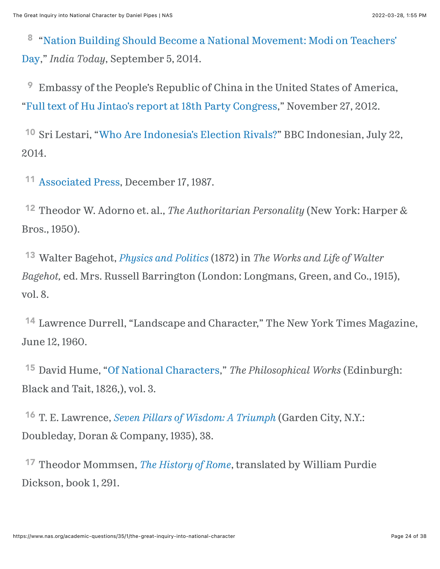<span id="page-23-0"></span><sup>8</sup> ["Nation Building Should Become a National Movement: Modi on Teachers'](https://www.indiatoday.in/india/story/pm-narendra-modi-teachers-day-speech-students-207412-2014-09-05) Day," *India Today*, September 5, 2014.

<span id="page-23-1"></span> Embassy of the People's Republic of China in the United States of America, ["Full text of Hu Jintao's report at 18th Party Congress](file:///C:/Users/danielpipes/Google%20Drive/Favorites/Boilerplate/Embassy%20of%20the%20People)," November 27, 2012. [9](#page-1-8)

<span id="page-23-2"></span><sup>10</sup> Sri Lestari, ["Who Are Indonesia's Election Rivals?"](https://www.bbc.com/news/world-asia-28102777) BBC Indonesian, July 22, 2014.

<span id="page-23-3"></span><sup>11</sup> [Associated Press,](https://apnews.com/article/8fff51f61de3400636ec9af70a2680d8) December 17, 1987.

<span id="page-23-4"></span><sup>[12](#page-1-11)</sup> Theodor W. Adorno et. al., *The Authoritarian Personality* (New York: Harper & Bros., 1950).

<span id="page-23-5"></span> Walter Bagehot, *[Physics and Politics](https://oll.libertyfund.org/title/barrington-the-works-and-life-of-walter-bagehot-vol-8)* (1872) in *The Works and Life of Walter* [13](#page-2-0) *Bagehot,* ed. Mrs. Russell Barrington (London: Longmans, Green, and Co., 1915), vol. 8.

<span id="page-23-6"></span><sup>[14](#page-2-1)</sup> Lawrence Durrell, "Landscape and Character," The New York Times Magazine, June 12, 1960.

<span id="page-23-7"></span><sup>15</sup> David Hume, "[Of National Characters,](https://books.googleusercontent.com/books/content?req=AKW5QafjSJ-KZl8SARL370zQ5Ilkmt4nIyFZZbml9aBR8xhGZ5rFoiZuVv_HceK-q3CbM8Ihb1yDmb4r0x3hT-Z269T_u466bpDqVeqJW4BhZWS3gyeKZ_yX4N4lI7vN2mwybMTjzXVxzv-0sZS-6IoHxPjPgdejwcwUTsrns6aVus468Vse3rEiLkpt71PsRc9WmtrnQCbkhmydtqCv0SIuHb2tI24oNjf6mprPNBSJwgIn12YT4rkz3f1NjlgLYKh03T-yQ6JqUOPRiR-Ws0BfyCcDamWJmw)" The Philosophical Works (Edinburgh: Black and Tait, 1826,), vol. 3.

<span id="page-23-8"></span> T. E. Lawrence, *Se[ven Pillars of Wisdom: A Triumph](https://www.google.com/books/edition/Seven_Pillars_of_Wisdom_The_Evolution_of/4Y4nCwAAQBAJ?hl=en&gbpv=0)* (Garden City, N.Y.: [16](#page-2-3) Doubleday, Doran & Company, 1935), 38.

<span id="page-23-9"></span><sup>[17](#page-2-4)</sup> Theodor Mommsen, *[The History of Rome](https://www.google.com/books/edition/The_History_of_Rome/IQkXAAAAYAAJ?hl=en&gbpv=1&dq=The+Italian+is+deficient+in+the+passion+of+the+heart+mommsen&pg=PA291&printsec=frontcover)*, translated by William Purdie Dickson, book 1, 291.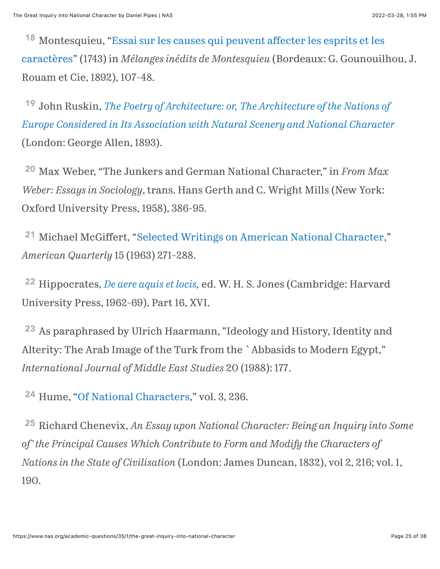<span id="page-24-0"></span><sup>18</sup> [Montesquieu, "Essai sur les causes qui peuvent a](https://fr.wikisource.org/wiki/Livre:Montesquieu_-_M%C3%A9langes_in%C3%A9dits,_1892.djvu)ffecter les esprits et les caractères" (1743) in *Mélanges inédits de Montesquieu* (Bordeaux: G. Gounouilhou, J. Rouam et Cie, 1892), 107-48.

<span id="page-24-1"></span><sup>[19](#page-2-6)</sup> John Ruskin, *The Poetry of Architecture: or, The Architecture of the Nations of [Europe Considered in Its Association with Natural Scenery and National Character](https://www.google.com/books/edition/The_Poetry_of_Architecture/l6caAAAAYAAJ?hl=en&gbpv=1&dq=the+poetry+of+architecture+john+ruskin+1837&printsec=frontcover)* (London: George Allen, 1893).

<span id="page-24-2"></span> Max Weber, "The Junkers and German National Character," in *From Max* [20](#page-2-7) *Weber: Essays in Sociology*, trans. Hans Gerth and C. Wright Mills (New York: Oxford University Press, 1958), 386-95.

<span id="page-24-3"></span><sup>21</sup> Michael McGiffert, ["Selected Writings on American National Character,](https://www.jstor.org/stable/2710962?seq=1)" *American Quarterly* 15 (1963) 271-288.

<span id="page-24-4"></span><sup>[22](#page-2-9)</sup> Hippocrates, *De aere aquis et locis*, ed. W. H. S. Jones (Cambridge: Harvard University Press, 1962-69), Part 16, XVI.

<span id="page-24-5"></span><sup>[23](#page-3-0)</sup> As paraphrased by Ulrich Haarmann, "Ideology and History, Identity and Alterity: The Arab Image of the Turk from the `Abbasids to Modern Egypt," *International Journal of Middle East Studies* 20 (1988): 177.

<span id="page-24-6"></span><sup>24</sup> Hume, ["Of National Characters](https://books.googleusercontent.com/books/content?req=AKW5QafjSJ-KZl8SARL370zQ5Ilkmt4nIyFZZbml9aBR8xhGZ5rFoiZuVv_HceK-q3CbM8Ihb1yDmb4r0x3hT-Z269T_u466bpDqVeqJW4BhZWS3gyeKZ_yX4N4lI7vN2mwybMTjzXVxzv-0sZS-6IoHxPjPgdejwcwUTsrns6aVus468Vse3rEiLkpt71PsRc9WmtrnQCbkhmydtqCv0SIuHb2tI24oNjf6mprPNBSJwgIn12YT4rkz3f1NjlgLYKh03T-yQ6JqUOPRiR-Ws0BfyCcDamWJmw)," vol. 3, 236.

<span id="page-24-7"></span><sup>[25](#page-3-2)</sup> Richard Chenevix, *An Essay upon National Character: Being an Inquiry into Some of' the Principal Causes Which Contribute to Form and Modify the Characters of Nations in the State of Civilisation* (London: James Duncan, 1832), vol 2, 216; vol. 1, 190.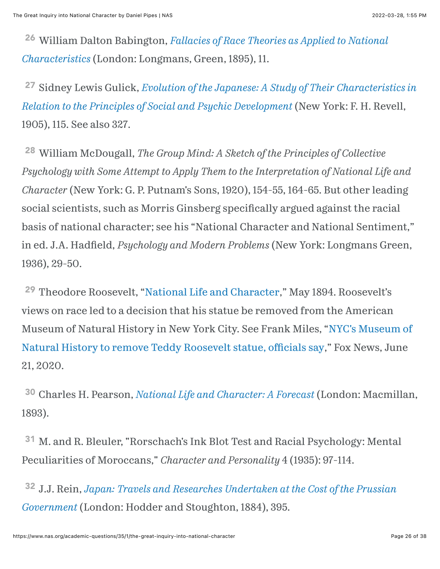<span id="page-25-0"></span> William Dalton Babington, *[Fallacies of Race Theories as Applied to National](https://www.google.com/books/edition/Fallacies_of_Race_Theories_as_Applied_to/5caFAAAAIAAJ?hl=en&gbpv=1&dq=inauthor:%22William+Dalton+Babington%22&printsec=frontcover)* [26](#page-3-3) *Characteristics* (London: Longmans, Green, 1895), 11.

<span id="page-25-1"></span><sup>[27](#page-3-4)</sup> Sidney Lewis Gulick, *[Evolution of the Japanese: A Study of Their Characteristics in](https://www.google.com/books/edition/Evolution_of_the_Japanese/jpRxAAAAMAAJ?hl=en&gbpv=0) Relation to the Principles of Social and Psychic Development* (New York: F. H. Revell, 1905), 115. See also 327.

<span id="page-25-2"></span> William McDougall, *The Group Mind: A Sketch of the Principles of Collective* [28](#page-4-0) *Psychology with Some Attempt to Apply Them to the Interpretation of National Life and Character* (New York: G. P. Putnam's Sons, 1920), 154-55, 164-65. But other leading social scientists, such as Morris Ginsberg specifically argued against the racial basis of national character; see his "National Character and National Sentiment," in ed. J.A. Hadfield, *Psychology and Modern Problems* (New York: Longmans Green, 1936), 29-50.

<span id="page-25-3"></span><sup>29</sup> Theodore Roosevelt, "[National Life and Character](https://teachingamericanhistory.org/library/document/national-life-and-character/)," May 1894. Roosevelt's views on race led to a decision that his statue be removed from the American Museum of Natural History in Ne[w York City. See Frank Miles, "NYC's Museum of](https://www.foxnews.com/us/nyc-museum-of-natural-history-teddy-roosevelt-statue-removing) Natural History to remove Teddy Roosevelt statue, officials say," Fox News, June 21, 2020.

<span id="page-25-4"></span> Charles H. Pearson, *[National Life and Character: A Forecast](https://www.google.com/books/edition/National_Life_and_Character/J49RyAEACAAJ?hl=en&gbpv=1)* (London: Macmillan, [30](#page-4-2) 1893).

<span id="page-25-5"></span><sup>[31](#page-4-3)</sup> M. and R. Bleuler, "Rorschach's Ink Blot Test and Racial Psychology: Mental Peculiarities of Moroccans," *Character and Personality* 4 (1935): 97-114.

<span id="page-25-6"></span><sup>[32](#page-5-0)</sup> J.J. Rein, *[Japan: Travels and Researches Undertaken at the Cost of the Prussian](https://www.google.com/books/edition/Japan/W_cU3fYLlPgC?hl=en&gbpv=1) Government* (London: Hodder and Stoughton, 1884), 395.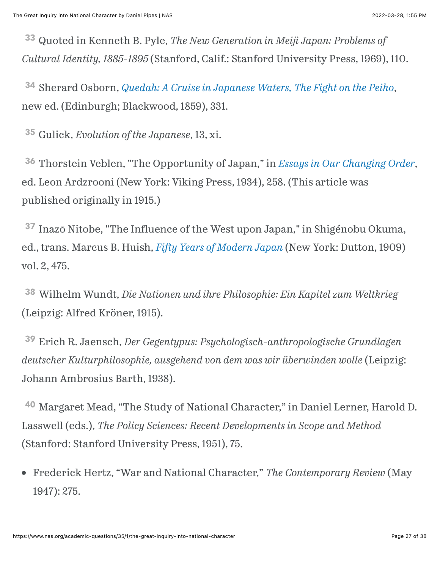<span id="page-26-0"></span> Quoted in Kenneth B. Pyle, *The New Generation in Meiji Japan: Problems of* [33](#page-5-1) *Cultural Identity, 1885-1895* (Stanford, Calif.: Stanford University Press, 1969), 110.

<span id="page-26-1"></span> Sherard Osborn, *[Quedah: A Cruise in Japanese Waters, The Fight on the Peiho](https://www.google.com/books/edition/Quedah_A_Cruise_in_Japanese_Waters_The_F/mmMdAAAAMAAJ?hl=en&gbpv=1&dq=)*, [34](#page-5-2) new ed. (Edinburgh; Blackwood, 1859), 331.

<span id="page-26-2"></span>Gulick, *Evolution of the Japanese*, 13, xi. [35](#page-5-3)

<span id="page-26-3"></span><sup>[36](#page-5-4)</sup> Thorstein Veblen, "The Opportunity of Japan," in *[Essays in Our Changing Order](https://www.google.com/books/edition/Essays_in_Our_Changing_Order/pyZhDwAAQBAJ?hl=en&gbpv=1&dq=)*, ed. Leon Ardzrooni (New York: Viking Press, 1934), 258. (This article was published originally in 1915.)

<span id="page-26-4"></span><sup>[37](#page-5-5)</sup> Inazō Nitobe, "The Influence of the West upon Japan," in Shigénobu Okuma, ed., trans. Marcus B. Huish, *Fift[y Years of Modern Japan](https://www.google.com/books/edition/Fifty_Years_of_New_Japan/_ss-AQAAMAAJ?hl=en&gbpv=1&dq=%22in+the+receptive+faculty+of+the+Japanese+race%22&pg=PA475&printsec=frontcover)* (New York: Dutton, 1909) vol. 2, 475.

 Wilhelm Wundt, *Die Nationen und ihre Philosophie: Ein Kapitel zum Weltkrieg* 38 (Leipzig: Alfred Kröner, 1915).

<span id="page-26-5"></span> Erich R. Jaensch, *Der Gegentypus: Psychologisch-anthropologische Grundlagen* [39](#page-6-0) *deutscher Kulturphilosophie, ausgehend von dem was wir überwinden wolle* (Leipzig: Johann Ambrosius Barth, 1938).

<span id="page-26-6"></span><sup>[40](#page-6-1)</sup> Margaret Mead, "The Study of National Character," in Daniel Lerner, Harold D. Lasswell (eds.), *The Policy Sciences: Recent Developments in Scope and Method* (Stanford: Stanford University Press, 1951), 75.

Frederick Hertz, "War and National Character," *The Contemporary Review* (May 1947): 275.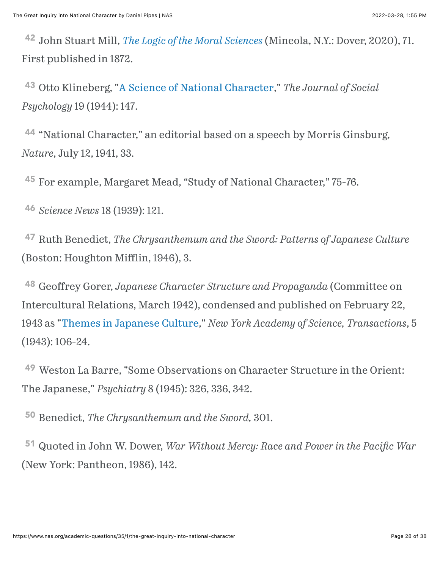<span id="page-27-0"></span> John Stuart Mill, *[The Logic of the Moral Sciences](https://www.google.com/books/edition/The_Logic_of_the_Moral_Sciences/rd_kDwAAQBAJ?hl=en&gbpv=0)* (Mineola, N.Y.: Dover, 2020), 71. [42](#page-6-2) First published in 1872.

<span id="page-27-1"></span> Otto Klineberg, ["A Science of National Character](https://www.jstor.org/stable/27826035?seq=1)," *The Journal of Social* [43](#page-6-3) *Psychology* 19 (1944): 147.

<span id="page-27-2"></span><sup>[44](#page-7-0)</sup> "National Character," an editorial based on a speech by Morris Ginsburg, *Nature*, July 12, 1941, 33.

<span id="page-27-3"></span><sup>[45](#page-7-1)</sup> For example, Margaret Mead, "Study of National Character," 75-76.

<span id="page-27-4"></span> *Science News* 18 (1939): 121. [46](#page-7-2)

<span id="page-27-5"></span><sup>[47](#page-8-0)</sup> Ruth Benedict, *The Chrysanthemum and the Sword: Patterns of Japanese Culture* (Boston: Houghton Mifflin, 1946), 3.

<span id="page-27-6"></span> Geoffrey Gorer, *Japanese Character Structure and Propaganda* (Committee on [48](#page-8-1) Intercultural Relations, March 1942), condensed and published on February 22, 1943 as ["Themes in Japanese Culture,](https://nyaspubs.onlinelibrary.wiley.com/doi/10.1111/j.2164-0947.1943.tb00874.x)" *New York Academy of Science, Transactions*, 5 (1943): 106-24.

<span id="page-27-7"></span> Weston La Barre, "Some Observations on Character Structure in the Orient: [49](#page-10-0) The Japanese," *Psychiatry* 8 (1945): 326, 336, 342.

<span id="page-27-8"></span>Benedict, *The Chrysanthemum and the Sword,* 301. [50](#page-10-1)

<span id="page-27-9"></span> Quoted in John W. Dower, *War Without Mercy: Race and Power in the Paci#c War* [51](#page-10-2)(New York: Pantheon, 1986), 142.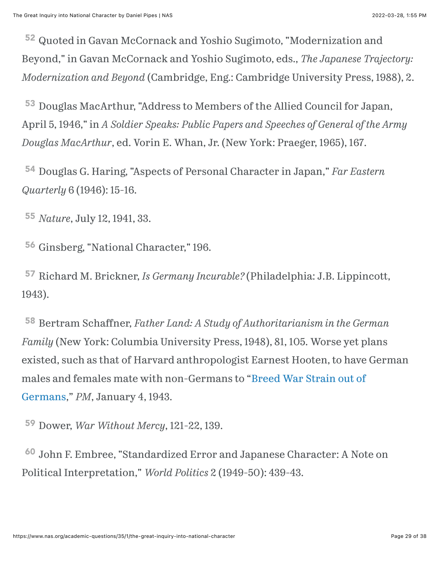<span id="page-28-0"></span>[52](#page-10-3) Quoted in Gavan McCornack and Yoshio Sugimoto, "Modernization and Beyond," in Gavan McCornack and Yoshio Sugimoto, eds., *The Japanese Trajectory: Modernization and Beyond* (Cambridge, Eng.: Cambridge University Press, 1988), 2.

<span id="page-28-1"></span>[53](#page-10-4) Douglas MacArthur, "Address to Members of the Allied Council for Japan, April 5, 1946," in *A Soldier Speaks: Public Papers and Speeches of General of the Army Douglas MacArthur*, ed. Vorin E. Whan, Jr. (New York: Praeger, 1965), 167.

<span id="page-28-2"></span> Douglas G. Haring, "Aspects of Personal Character in Japan," *Far Eastern* [54](#page-11-0) *Quarterly* 6 (1946): 15-16.

<span id="page-28-3"></span>*Nature*, July 12, 1941, 33. [55](#page-11-1)

<span id="page-28-4"></span><sup>[56](#page-11-2)</sup> Ginsberg, "National Character," 196.

<span id="page-28-5"></span>[57](#page-11-3) Richard M. Brickner, *Is Germany Incurable?* (Philadelphia: J.B. Lippincott, 1943).

<span id="page-28-6"></span> Bertram Schaffner, *Father Land: A Study of Authoritarianism in the German* [58](#page-12-0) *Family* (New York: Columbia University Press, 1948), 81, 105. Worse yet plans existed, such as that of Harvard anthropologist Earnest Hooten, to have German [males and females mate with non-Germans to "Breed War Strain out of](https://fultonhistory.com/Newspaper%2018/New%20York%20NY%20PM%20%20Daily/New%20York%20NY%20PM%20Daily%201942/New%20York%20NY%20PM%20Daily%201942%20-%208441.pdf) Germans," *PM*, January 4, 1943.

<span id="page-28-7"></span>Dower, *War Without Mercy*, 121-22, 139. [59](#page-12-1)

<span id="page-28-8"></span> John F. Embree, "Standardized Error and Japanese Character: A Note on [60](#page-12-2)Political Interpretation," *World Politics* 2 (1949-50): 439-43.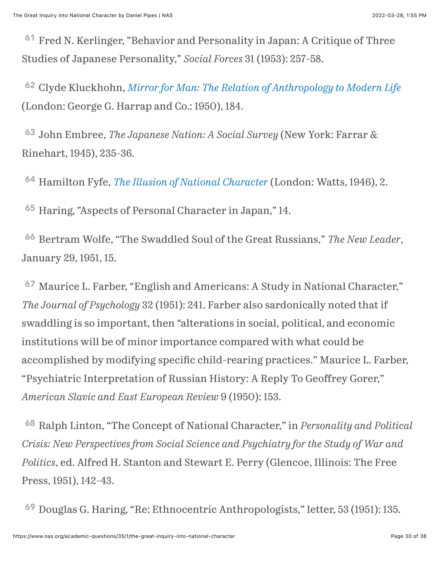<span id="page-29-0"></span><sup>[61](#page-12-3)</sup> Fred N. Kerlinger, "Behavior and Personality in Japan: A Critique of Three Studies of Japanese Personality," *Social Forces* 31 (1953): 257-58.

<span id="page-29-1"></span><sup>[62](#page-12-4)</sup> Clyde Kluckhohn, *[Mirror for Man: The Relation of Anthropology to Modern Life](https://archive.org/stream/in.ernet.dli.2015.215136/2015.215136.Mirror-For_djvu.txt)* (London: George G. Harrap and Co.: 1950), 184.

<span id="page-29-2"></span> John Embree, *The Japanese Nation: A Social Survey* (New York: Farrar & [63](#page-13-0) Rinehart, 1945), 235-36.

<span id="page-29-3"></span><sup>[64](#page-13-1)</sup> Hamilton Fyfe, *[The Illusion of National Character](https://www.google.com/books/edition/The_Illusion_of_National_Character/tfq8ugAACAAJ?hl=en)* (London: Watts, 1946), 2.

<span id="page-29-4"></span><sup>[65](#page-13-2)</sup> Haring, "Aspects of Personal Character in Japan," 14.

<span id="page-29-5"></span> Bertram Wolfe, "The Swaddled Soul of the Great Russians," *The New Leader*, [66](#page-13-3) January 29, 1951, 15.

<span id="page-29-6"></span><sup>[67](#page-13-4)</sup> Maurice L. Farber, "English and Americans: A Study in National Character," *The Journal of Psychology* 32 (1951): 241. Farber also sardonically noted that if swaddling is so important, then "alterations in social, political, and economic institutions will be of minor importance compared with what could be accomplished by modifying specific child-rearing practices." Maurice L. Farber, "Psychiatric Interpretation of Russian History: A Reply To Geoffrey Gorer," *American Slavic and East European Review* 9 (1950): 153.

<span id="page-29-7"></span><sup>[68](#page-13-5)</sup> Ralph Linton, "The Concept of National Character," in *Personality and Political Crisis: New Perspectives from Social Science and Psychiatry for the Study of War and Politics*, ed. Alfred H. Stanton and Stewart E. Perry (Glencoe, Illinois: The Free Press, 1951), 142-43.

<span id="page-29-8"></span>Douglas G. Haring, "Re: Ethnocentric Anthropologists," letter, 53 (1951): 135. [69](#page-13-6)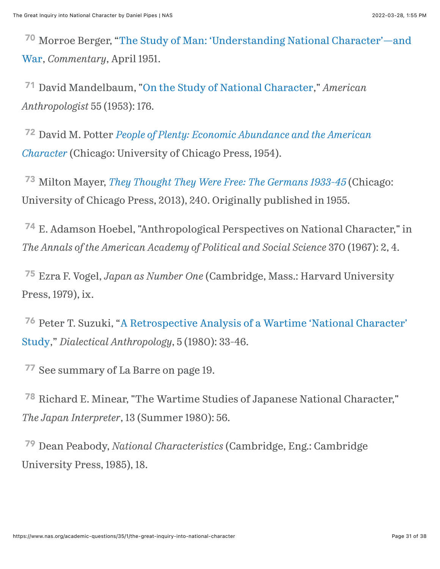<span id="page-30-0"></span><sup>70</sup> [Morroe Berger, "The Study of Man: 'Understanding National Character'—and](https://www.commentarymagazine.com/articles/commentary-bk/the-study-of-man-understanding-national-characterand-war/) War, *Commentary*, April 1951.

<span id="page-30-1"></span> David Mandelbaum, "[On the Study of National Character](https://www.jstor.org/stable/664585)," *American* [71](#page-13-8) *Anthropologist* 55 (1953): 176.

<span id="page-30-2"></span> David M. Potter *[People of Plenty: Economic Abundance and the American](https://play.google.com/store/books/details/People_of_Plenty_Economic_Abundance_and_the_Americ?id=yLT95KZEsWEC)* [72](#page-13-9) *Character* (Chicago: University of Chicago Press, 1954).

<span id="page-30-3"></span><sup>[73](#page-14-0)</sup> Milton Mayer, *[They Thought They Were Free: The Germans 1933-45](https://www.google.com/books/edition/They_Thought_They_Were_Free/8NFG1pAivX8C?hl=en&gbpv=0)* (Chicago: University of Chicago Press, 2013), 240. Originally published in 1955.

<span id="page-30-4"></span><sup>[74](#page-14-1)</sup> E. Adamson Hoebel, "Anthropological Perspectives on National Character," in *The Annals of the American Academy of Political and Social Science* 370 (1967): 2, 4.

<span id="page-30-5"></span> Ezra F. Vogel, *Japan as Number One* (Cambridge, Mass.: Harvard University [75](#page-14-2) Press, 1979), ix.

<span id="page-30-6"></span><sup>76</sup> [Peter T. Suzuki, "A Retrospective Analysis of a Wartime 'National Character'](http://www.jstor.com/stable/29789986) Study," *Dialectical Anthropology*, 5 (1980): 33-46.

<span id="page-30-7"></span>[77](#page-14-4) See summary of La Barre on page 19.

<span id="page-30-8"></span><sup>[78](#page-14-5)</sup> Richard E. Minear, "The Wartime Studies of Japanese National Character," *The Japan Interpreter*, 13 (Summer 1980): 56.

<span id="page-30-9"></span><sup>[79](#page-14-6)</sup> Dean Peabody, *National Characteristics* (Cambridge, Eng.: Cambridge University Press, 1985), 18.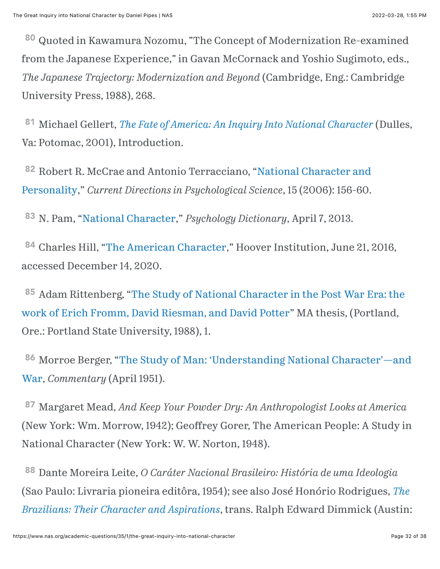<span id="page-31-0"></span><sup>[80](#page-14-7)</sup> Quoted in Kawamura Nozomu, "The Concept of Modernization Re-examined from the Japanese Experience," in Gavan McCornack and Yoshio Sugimoto, eds., *The Japanese Trajectory: Modernization and Beyond* (Cambridge, Eng.: Cambridge University Press, 1988), 268.

<span id="page-31-1"></span><sup>[81](#page-14-8)</sup> Michael Gellert, *[The Fate of America: An Inquiry Into National Character](https://www.google.com/books/edition/The_Fate_of_America/HjLPezDFkgwC?hl=en&gbpv=0)* (Dulles, Va: Potomac, 2001), Introduction.

<span id="page-31-2"></span>82 [Robert R. McCrae and Antonio Terracciano, "National Character and](https://www.jstor.org/stable/20183103?seq=1) Personality," *Current Directions in Psychological Science*, 15 (2006): 156-60.

<span id="page-31-3"></span><sup>83</sup> N. Pam, ["National Character,](https://psychologydictionary.org/national-character/)" *Psychology Dictionary*, April 7, 2013.

<span id="page-31-4"></span><sup>84</sup> Charles Hill, ["The American Character](https://www.hoover.org/research/american-character)," Hoover Institution, June 21, 2016, accessed December 14, 2020.

<span id="page-31-5"></span><sup>[85](#page-15-3)</sup> Adam Rittenberg, "The Study of National Character in the Post War Era: the [work of Erich Fromm, David Riesman, and David Potter" MA thesis, \(Portland,](https://doi.org/10.15760/etd.5735) Ore.: Portland State University, 1988), 1.

<span id="page-31-6"></span>86 [Morroe Berger, "The Study of Man: 'Understanding National Character'—and](https://www.commentarymagazine.com/articles/commentary-bk/the-study-of-man-understanding-national-characterand-war/) War, *Commentary* (April 1951).

<span id="page-31-7"></span> Margaret Mead, *And Keep Your Powder Dry: An Anthropologist Looks at America* [87](#page-15-5) (New York: Wm. Morrow, 1942); Geoffrey Gorer, The American People: A Study in National Character (New York: W. W. Norton, 1948).

<span id="page-31-8"></span> Dante Moreira Leite, *O Caráter Nacional Brasileiro: História de uma Ideologia* [88](#page-15-6)[\(Sao Paulo: Livraria pioneira editôra, 1954\); see also José Honório Rodrigues,](https://www.google.com/books/edition/The_Brazilians/wxiCBAAAQBAJ?hl=en&gbpv=0) *The Brazilians: Their Character and Aspirations*, trans. Ralph Edward Dimmick (Austin: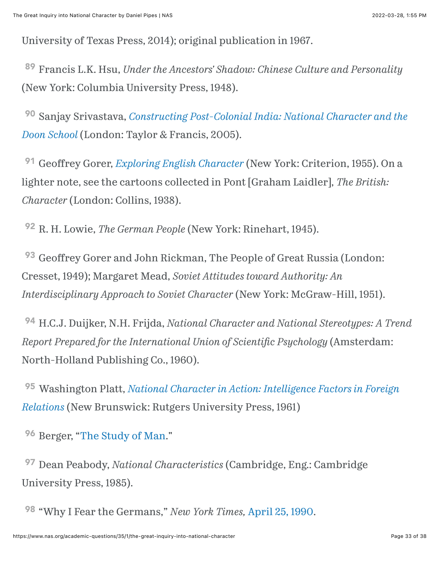University of Texas Press, 2014); original publication in 1967.

<span id="page-32-0"></span> Francis L.K. Hsu, *Under the Ancestors' Shadow: Chinese Culture and Personality* [89](#page-15-7) (New York: Columbia University Press, 1948).

<span id="page-32-1"></span><sup>[90](#page-15-8)</sup> Sanjay Srivastava, *[Constructing Post-Colonial India: National Character and the](https://www.google.com/books/edition/Constructing_Post_Colonial_India/cW6FAgAAQBAJ?hl=en&gbpv=0) Doon School* (London: Taylor & Francis, 2005).

<span id="page-32-2"></span><sup>[91](#page-15-9)</sup> Geoffrey Gorer, *[Exploring English Character](https://archive.org/details/exploringenglish002763mbp)* (New York: Criterion, 1955). On a lighter note, see the cartoons collected in Pont [Graham Laidler], *The British: Character* (London: Collins, 1938).

<span id="page-32-3"></span><sup>[92](#page-15-10)</sup> R. H. Lowie, *The German People* (New York: Rinehart, 1945).

<span id="page-32-4"></span><sup>[93](#page-15-11)</sup> Geoffrey Gorer and John Rickman, The People of Great Russia (London: Cresset, 1949); Margaret Mead, *Soviet Attitudes toward Authority: An Interdisciplinary Approach to Soviet Character* (New York: McGraw-Hill, 1951).

<span id="page-32-5"></span> H.C.J. Duijker, N.H. Frijda, *National Character and National Stereotypes: A Trend* [94](#page-15-12) *Report Prepared for the International Union of Scienti#c Psychology* (Amsterdam: North-Holland Publishing Co., 1960).

<span id="page-32-6"></span> Washington Platt, *[National Character in Action: Intelligence Factors in Foreign](https://www.google.com/books/edition/National_Character_in_Action/qRaPzQEACAAJ?hl=en)* [95](#page-15-13) *Relations* (New Brunswick: Rutgers University Press, 1961)

<span id="page-32-7"></span><sup>96</sup> Berger, ["The Study of Man.](https://www.commentarymagazine.com/articles/commentary-bk/the-study-of-man-understanding-national-characterand-war/)"

<span id="page-32-8"></span><sup>[97](#page-16-0)</sup> Dean Peabody, *National Characteristics* (Cambridge, Eng.: Cambridge University Press, 1985).

<span id="page-32-9"></span><sup>[98](#page-16-1)</sup> "Why I Fear the Germans," *New York Times*, [April 25, 1990](https://www.nytimes.com/1990/04/25/opinion/why-i-fear-the-germans.html?searchResultPosition=1).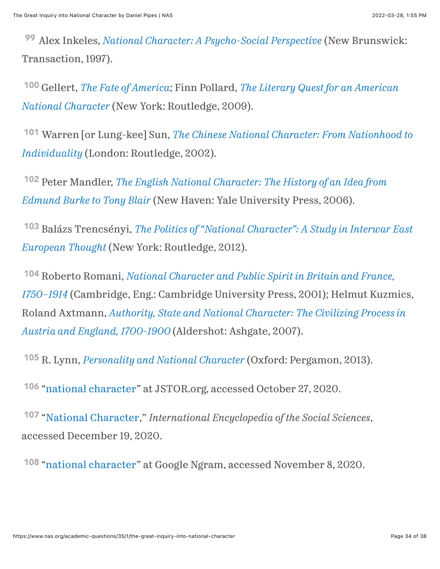<span id="page-33-0"></span> Alex Inkeles, *[National Character: A Psycho-Social Perspective](https://www.routledge.com/National-Character-A-Psycho-Social-Perspective/Inkeles/p/book/9781412854962)* (New Brunswick: [99](#page-16-2) Transaction, 1997).

<span id="page-33-1"></span> Gellert, *[The Fate of America](https://www.google.com/books/edition/The_Fate_of_America/HjLPezDFkgwC?hl=en&gbpv=0)*; Finn Pollard, *[The Literary Quest for an American](https://www.google.com/books/edition/The_Literary_Quest_for_an_American_Natio/E6TgMyAjUhoC?hl=en&gbpv=0)* [100](#page-16-3) *National Character* (New York: Routledge, 2009).

<span id="page-33-2"></span> Warren [or Lung-kee] Sun, *[The Chinese National Character: From Nationhood to](https://www.routledge.com/The-Chinese-National-Character-From-Nationhood-to-Individuality-From-Nationhood/Sun/p/book/9780765608277)* [101](#page-16-4) *Individuality* (London: Routledge, 2002).

<span id="page-33-3"></span><sup>[102](#page-16-5)</sup> Peter Mandler, *[The English National Character: The History of an Idea from](https://yalebooks.yale.edu/book/9780300246520/english-national-character) Edmund Burke to Tony Blair* (New Haven: Yale University Press, 2006).

<span id="page-33-4"></span> Balázs Trencsényi, *[The Politics of "National Character": A Study in Interwar East](https://www.google.com/books/edition/The_Politics_of_National_Character/_-_GBQAAQBAJ?hl=en&gbpv=0)* [103](#page-16-6) *European Thought* (New York: Routledge, 2012).

<span id="page-33-5"></span> Roberto Romani, *National Character and Public Spirit in Britain and France,* [104](#page-16-7) *1750–1914* [\(Cambridge, Eng.: Cambridge University Press, 2001\); Helmut Kuzm](https://www.google.com/books/edition/National_Character_and_Public_Spirit_in/ha9ZFEJCnJAC?hl=en&gbpv=0)ics, Roland Axtmann, *[Authority, State and National Character: The Civilizing Process in](https://www.google.com/books/edition/Authority_State_and_National_Character/L8PLW51DrZsC?hl=en&gbpv=1&dq=%22national+character%22&printsec=frontcover) Austria and England, 1700-1900* (Aldershot: Ashgate, 2007).

<span id="page-33-6"></span><sup>[105](#page-16-8)</sup> R. Lynn, *[Personality and National Character](https://www.google.com/books/edition/Personality_and_National_Character/JJhGBQAAQBAJ?hl=en&gbpv=1)* (Oxford: Pergamon, 2013).

<span id="page-33-7"></span><sup>106</sup> "[national character](https://www.jstor.org/action/doBasicSearch?Query=%22national+character%22&acc=off&wc=on&fc=off&group=none)" at JSTOR.org, accessed October 27, 2020.

<span id="page-33-8"></span> "[National Character,](https://www.encyclopedia.com/social-sciences-and-law/sociology-and-social-reform/sociology-general-terms-and-concepts/national-character)" *International Encyclopedia of the Social Sciences*, [107](#page-16-10) accessed December 19, 2020.

<span id="page-33-9"></span><sup>108</sup> "[national character](https://books.google.com/ngrams/graph?content=%22national+character%22&year_start=1800&year_end=2019&corpus=26&smoothing=3&direct_url=t1%3B%2C%22%20national%20character%20%22%3B%2Cc0)" at Google Ngram, accessed November 8, 2020.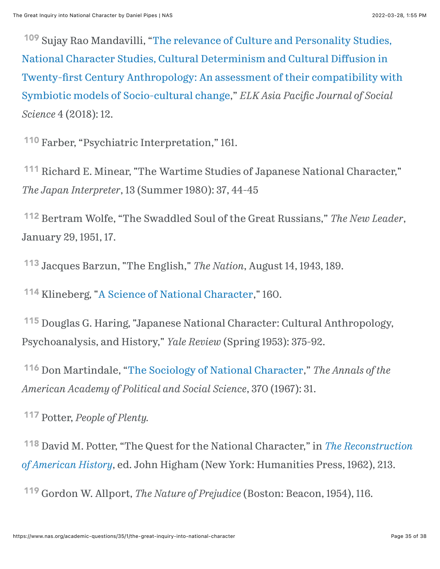<span id="page-34-0"></span><sup>[109](#page-17-0)</sup> Sujay Rao Mandavilli, "The relevance of Culture and Personality Studies, National Character Studies, Cultural Determinism and Cultural Diffusion in Twenty-fi[rst Century Anthropology: An assessment of their compatibility with](https://www.researchgate.net/publication/322959935_The_relevance_of_Culture_and_Personality_Studies_National_Character_Studies_Cultural_Determinism_and_Cultural_Diffusion_in_Twenty-first_Century_Anthropology_An_assessment_of_their_compatibility_with_S) Symbiotic models of Socio-cultural change," *ELK Asia Pacific Journal of Social Science* 4 (2018): 12.

<span id="page-34-1"></span><sup>[110](#page-17-1)</sup> Farber, "Psychiatric Interpretation," 161.

<span id="page-34-2"></span><sup>[111](#page-18-0)</sup> Richard E. Minear, "The Wartime Studies of Japanese National Character," *The Japan Interpreter*, 13 (Summer 1980): 37, 44-45

<span id="page-34-3"></span> Bertram Wolfe, "The Swaddled Soul of the Great Russians," *The New Leader*, [112](#page-18-1) January 29, 1951, 17.

<span id="page-34-4"></span><sup>[113](#page-19-0)</sup> Jacques Barzun, "The English," *The Nation*, August 14, 1943, 189.

<span id="page-34-5"></span><sup>114</sup> Klineberg, "[A Science of National Character,](https://www.jstor.org/stable/27826035?seq=1)" 160.

<span id="page-34-6"></span><sup>[115](#page-19-2)</sup> Douglas G. Haring, "Japanese National Character: Cultural Anthropology, Psychoanalysis, and History," *Yale Review* (Spring 1953): 375-92.

<span id="page-34-7"></span><sup>116</sup> Don Martindale, "[The Sociology of National Character](https://www.jstor.org/stable/1038048)," *The Annals of the American Academy of Political and Social Science*, 370 (1967): 31.

<span id="page-34-8"></span>Potter, *People of Plenty.* [117](#page-19-4)

<span id="page-34-9"></span> [David M. Potter, "The Quest for the National Character," in](https://www.google.com/books/edition/The_Reconstruction_of_American_History/PkR2AAAAMAAJ?hl=en&gbpv=0) *The Reconstruction* [118](#page-20-0) *of American History*, ed. John Higham (New York: Humanities Press, 1962), 213.

<span id="page-34-10"></span><sup>[119](#page-20-1)</sup> Gordon W. Allport, *The Nature of Prejudice* (Boston: Beacon, 1954), 116.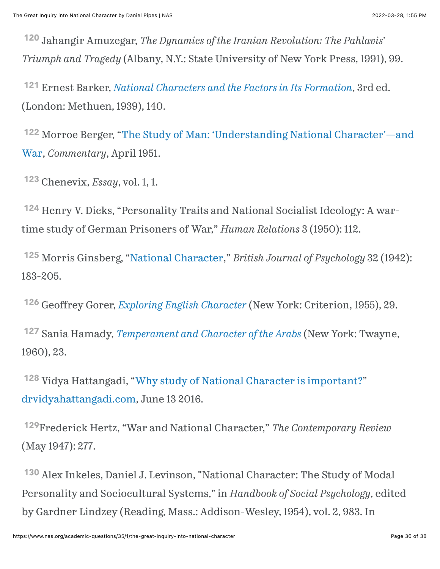<span id="page-35-0"></span> Jahangir Amuzegar, *The Dynamics of the Iranian Revolution: The Pahlavis'* [120](#page-20-2) *Triumph and Tragedy* (Albany, N.Y.: State University of New York Press, 1991), 99.

<span id="page-35-1"></span> Ernest Barker, *[National Characters and the Factors in Its Formation](https://archive.org/details/in.ernet.dli.2015.34098/page/n21/mode/2up)*, 3rd ed. [121](#page-20-3) (London: Methuen, 1939), 140.

<span id="page-35-2"></span><sup>122</sup> [Morroe Berger, "The Study of Man: 'Understanding National Character'—and](https://www.commentarymagazine.com/articles/commentary-bk/the-study-of-man-understanding-national-characterand-war/) War, *Commentary*, April 1951.

<span id="page-35-3"></span>Chenevix, *Essay*, vol. 1, 1. [123](#page-20-5)

<span id="page-35-4"></span><sup>[124](#page-21-0)</sup> Henry V. Dicks, "Personality Traits and National Socialist Ideology: A wartime study of German Prisoners of War," *Human Relations* 3 (1950): 112.

<span id="page-35-5"></span><sup>125</sup> Morris Ginsberg, "[National Character](https://bpspsychub.onlinelibrary.wiley.com/doi/10.1111/j.2044-8295.1942.tb01020.x)," *British Journal of Psychology* 32 (1942): 183-205.

<span id="page-35-6"></span>Geoffrey Gorer, *[Exploring English Character](https://archive.org/details/exploringenglish002763mbp)* (New York: Criterion, 1955), 29. [126](#page-21-2)

<span id="page-35-7"></span> Sania Hamady, *[Temperament and Character of the Arabs](https://www.google.com/books/edition/Temperament_and_Character_of_the_Arabs/tKX-IeFMNKAC?hl=en&gbpv=1&dq=Sonia+Hamady,+Temperament+and+Character+of+the+Arabs&printsec=frontcover)* (New York: Twayne, [127](#page-21-3) 1960), 23.

<span id="page-35-8"></span><sup>128</sup> Vidya Hattangadi, "[Why study of National Character is important?"](http://drvidyahattangadi.com/why-study-of-national-character-is-important/) dr[vidyahattangadi.com](http://drvidyahattangadi.com/), June 13 2016.

<span id="page-35-9"></span>Frederick Hertz, "War and National Character," *The Contemporary Review* [129](#page-21-5) (May 1947): 277.

<span id="page-35-10"></span><sup>[130](#page-21-6)</sup> Alex Inkeles, Daniel J. Levinson, "National Character: The Study of Modal Personality and Sociocultural Systems," in *Handbook of Social Psychology*, edited by Gardner Lindzey (Reading, Mass.: Addison-Wesley, 1954), vol. 2, 983. In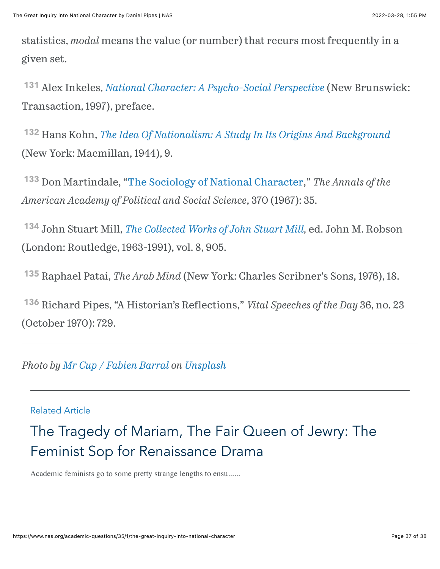statistics, *modal* means the value (or number) that recurs most frequently in a given set.

<span id="page-36-0"></span> Alex Inkeles, *[National Character: A Psycho-Social Perspective](https://www.google.com/books/edition/National_Character/w0JuBQAAQBAJ?hl=en&gbpv=1&bsq=barker)* (New Brunswick: [131](#page-21-7) Transaction, 1997), preface.

<span id="page-36-1"></span> Hans Kohn, *[The Idea Of Nationalism: A Study In Its Origins And Background](https://books.google.com/books?id=Qnwbviylg6wC&newbks=0&printsec=frontcover&pg=PA9&dq=Kohn+#v=onepage&q&f=false)* [132](#page-21-8) (New York: Macmillan, 1944), 9.

<span id="page-36-2"></span><sup>133</sup> Don Martindale, "[The Sociology of National Character](https://www.jstor.org/stable/1038048)," *The Annals of the American Academy of Political and Social Science*, 370 (1967): 35.

<span id="page-36-3"></span> John Stuart Mill, *[The Collected Works of John Stuart Mill](https://www.routledgehistoricalresources.com/economic-thought/sets/collected-works-of-john-stuart-mill),* ed. John M. Robson [134](#page-21-10) (London: Routledge, 1963-1991), vol. 8, 905.

<span id="page-36-4"></span><sup>[135](#page-21-11)</sup> Raphael Patai, *The Arab Mind* (New York: Charles Scribner's Sons, 1976), 18.

<span id="page-36-5"></span><sup>[136](#page-22-7)</sup> Richard Pipes, "A Historian's Reflections," *Vital Speeches of the Day* 36, no. 23 (October 1970): 729.

*Photo by [Mr Cup / Fabien Barral](https://unsplash.com/@iammrcup?utm_source=unsplash&utm_medium=referral&utm_content=creditCopyText) on [Unsplash](https://unsplash.com/?utm_source=unsplash&utm_medium=referral&utm_content=creditCopyText)*

#### Related Article

[The Tragedy of Mariam, The Fair Queen of Jewry: The](https://www.nas.org/academic-questions/35/1/the-tragedy-of-miriam-the-fair-queen-of-jewry-the-feminist-sop-for-renaissance-drama) Feminist Sop for Renaissance Drama

Academic feminists go to some pretty strange lengths to ensu......